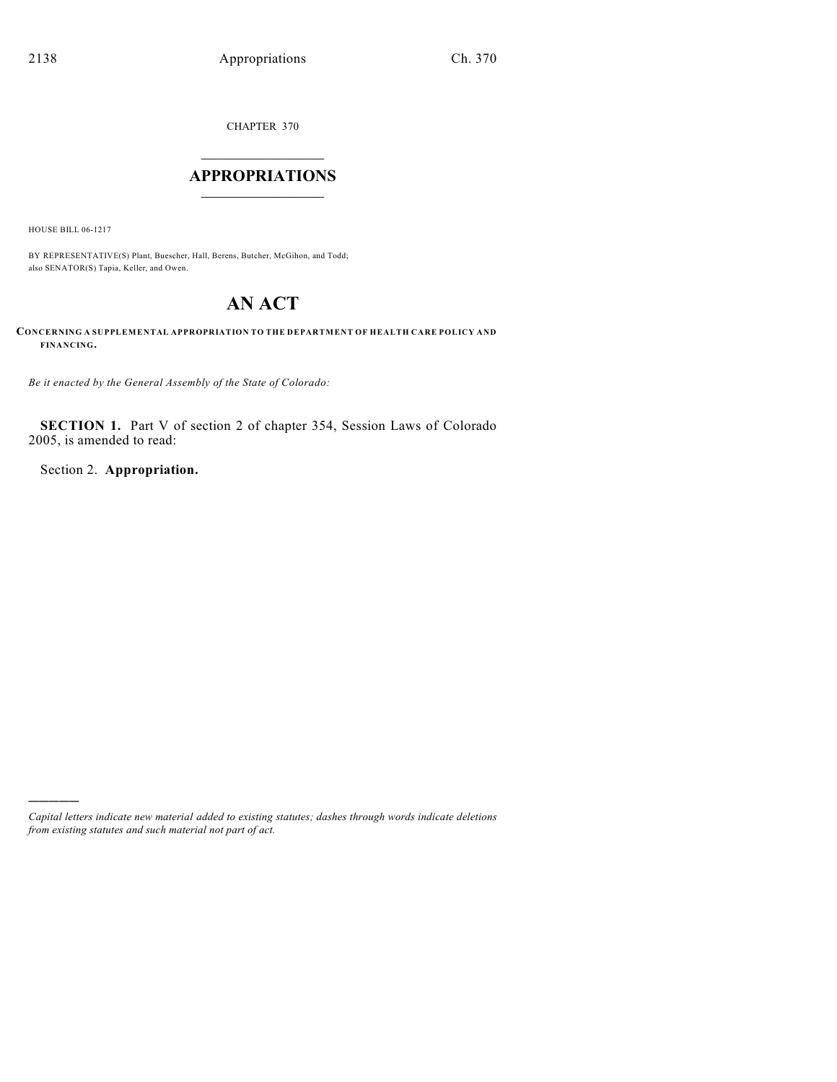CHAPTER 370

# $\overline{\phantom{a}}$  . The set of the set of the set of the set of the set of the set of the set of the set of the set of the set of the set of the set of the set of the set of the set of the set of the set of the set of the set o **APPROPRIATIONS**  $\_$   $\_$   $\_$   $\_$   $\_$   $\_$   $\_$   $\_$

HOUSE BILL 06-1217

)))))

BY REPRESENTATIVE(S) Plant, Buescher, Hall, Berens, Butcher, McGihon, and Todd; also SENATOR(S) Tapia, Keller, and Owen.

# **AN ACT**

**CONCERNING A SUPPLEMENTAL APPROPRIATION TO THE DEPARTMENT OF HEALTH CARE POLICY AND FINANCING.**

*Be it enacted by the General Assembly of the State of Colorado:*

**SECTION 1.** Part V of section 2 of chapter 354, Session Laws of Colorado 2005, is amended to read:

Section 2. **Appropriation.**

*Capital letters indicate new material added to existing statutes; dashes through words indicate deletions from existing statutes and such material not part of act.*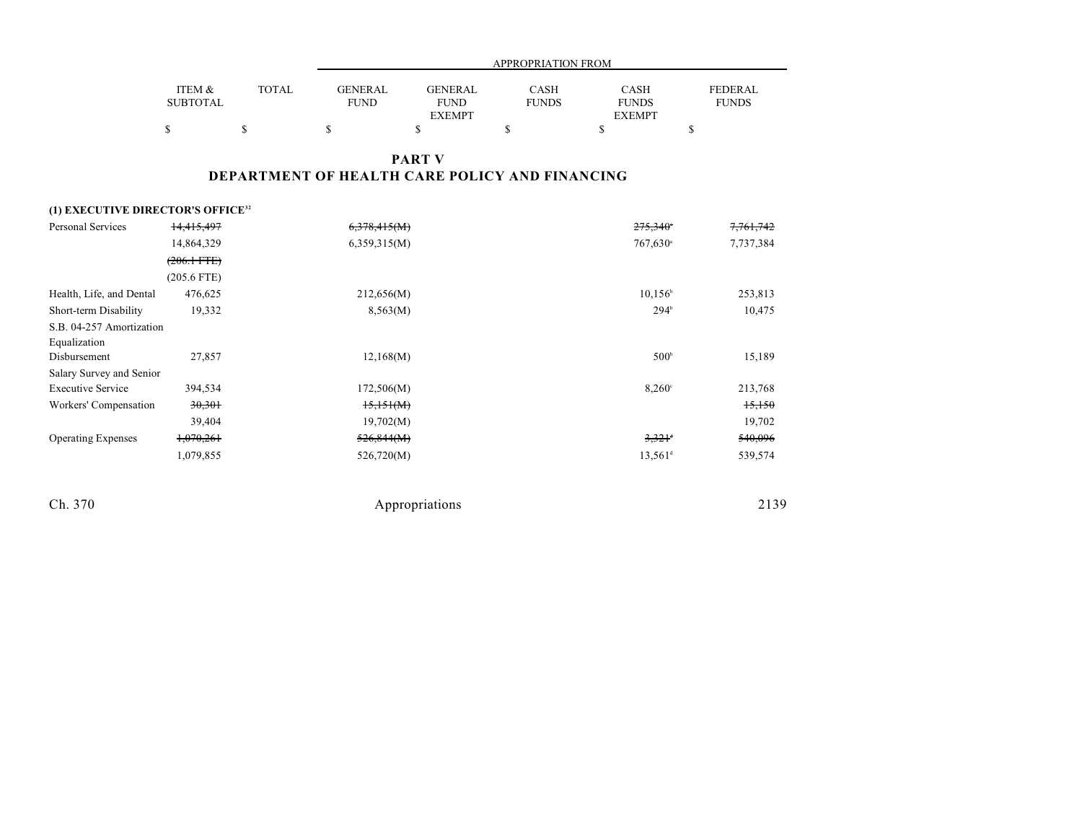|                 |              |             | APPROPRIATION FROM |              |               |              |  |  |  |
|-----------------|--------------|-------------|--------------------|--------------|---------------|--------------|--|--|--|
|                 |              |             |                    |              |               |              |  |  |  |
| ITEM &          | <b>TOTAL</b> | GENERAL     | <b>GENERAL</b>     | CASH         | <b>CASH</b>   | FEDERAL      |  |  |  |
| <b>SUBTOTAL</b> |              | <b>FUND</b> | <b>FUND</b>        | <b>FUNDS</b> | <b>FUNDS</b>  | <b>FUNDS</b> |  |  |  |
|                 |              |             | <b>EXEMPT</b>      |              | <b>EXEMPT</b> |              |  |  |  |
|                 |              |             |                    |              |               |              |  |  |  |

### **PART V DEPARTMENT OF HEALTH CARE POLICY AND FINANCING**

### **(1) EXECUTIVE DIRECTOR'S OFFICE<sup>32</sup>**

| <b>Personal Services</b>  | 14,415,497            | 6,378,415(M) | $275,340$ <sup>*</sup> | 7,761,742 |
|---------------------------|-----------------------|--------------|------------------------|-----------|
|                           | 14,864,329            | 6,359,315(M) | 767,630 <sup>a</sup>   | 7,737,384 |
|                           | $(206.1 \text{ FTE})$ |              |                        |           |
|                           | $(205.6$ FTE)         |              |                        |           |
| Health, Life, and Dental  | 476,625               | 212,656(M)   | $10.156^{\circ}$       | 253,813   |
| Short-term Disability     | 19,332                | 8,563(M)     | $294^{\circ}$          | 10,475    |
| S.B. 04-257 Amortization  |                       |              |                        |           |
| Equalization              |                       |              |                        |           |
| Disbursement              | 27,857                | 12,168(M)    | 500 <sup>b</sup>       | 15,189    |
| Salary Survey and Senior  |                       |              |                        |           |
| <b>Executive Service</b>  | 394,534               | 172,506(M)   | $8,260^\circ$          | 213,768   |
| Workers' Compensation     | 30,301                | 15,151(M)    |                        | 15,150    |
|                           | 39,404                | 19,702(M)    |                        | 19,702    |
| <b>Operating Expenses</b> | 1,070,261             | 526,844(M)   | $3,321$ <sup>d</sup>   | 540,096   |
|                           | 1,079,855             | 526,720(M)   | $13.561$ <sup>d</sup>  | 539,574   |
|                           |                       |              |                        |           |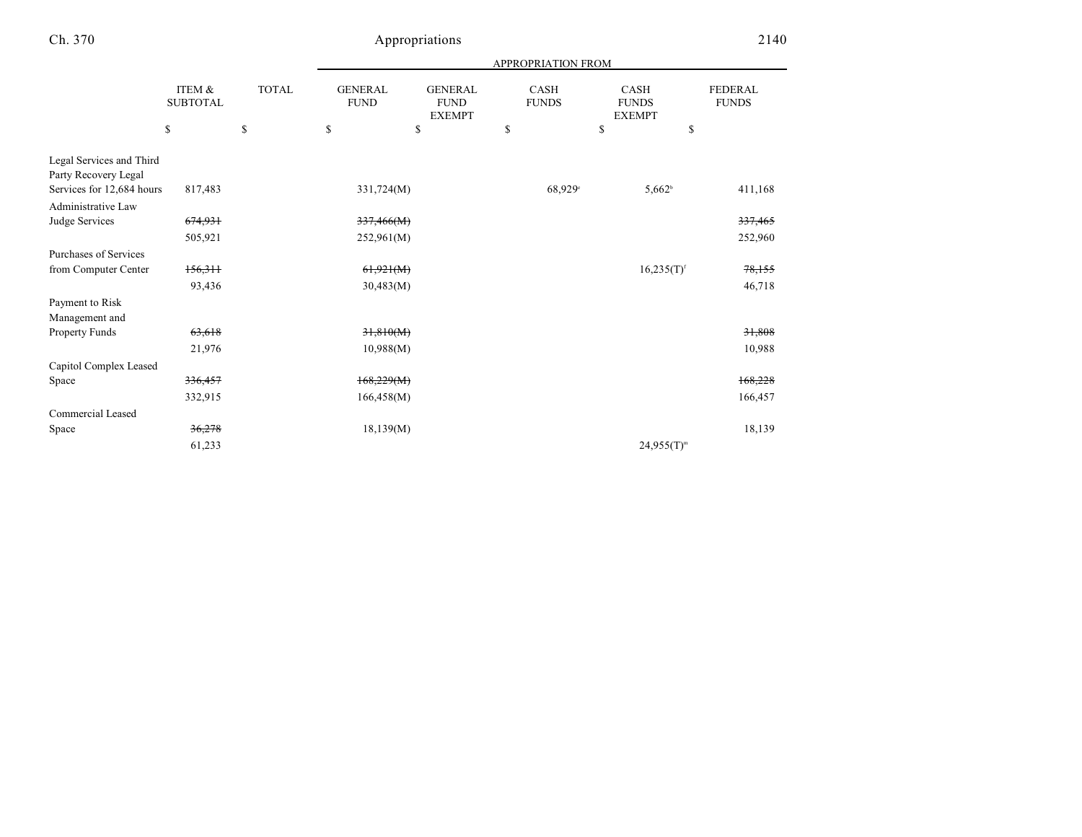|                                                  |                                 |                             | APPROPRIATION FROM                  |                                                      |                                   |                                                    |                                      |  |
|--------------------------------------------------|---------------------------------|-----------------------------|-------------------------------------|------------------------------------------------------|-----------------------------------|----------------------------------------------------|--------------------------------------|--|
|                                                  | ITEM &<br><b>SUBTOTAL</b><br>\$ | <b>TOTAL</b><br>$\mathbf S$ | <b>GENERAL</b><br><b>FUND</b><br>\$ | <b>GENERAL</b><br><b>FUND</b><br><b>EXEMPT</b><br>\$ | <b>CASH</b><br><b>FUNDS</b><br>\$ | <b>CASH</b><br><b>FUNDS</b><br><b>EXEMPT</b><br>\$ | <b>FEDERAL</b><br><b>FUNDS</b><br>\$ |  |
|                                                  |                                 |                             |                                     |                                                      |                                   |                                                    |                                      |  |
| Legal Services and Third<br>Party Recovery Legal |                                 |                             |                                     |                                                      |                                   |                                                    |                                      |  |
| Services for 12,684 hours                        | 817,483                         |                             | 331,724(M)                          |                                                      | $68,929^\circ$                    | $5,662^b$                                          | 411,168                              |  |
| Administrative Law                               |                                 |                             |                                     |                                                      |                                   |                                                    |                                      |  |
| Judge Services                                   | 674,931                         |                             | 337,466(M)                          |                                                      |                                   |                                                    | 337,465                              |  |
|                                                  | 505,921                         |                             | 252,961(M)                          |                                                      |                                   |                                                    | 252,960                              |  |
| Purchases of Services                            |                                 |                             |                                     |                                                      |                                   |                                                    |                                      |  |
| from Computer Center                             | 156,311                         |                             | 61,921(M)                           |                                                      |                                   | $16,235(T)$ <sup>f</sup>                           | 78,155                               |  |
|                                                  | 93,436                          |                             | 30,483(M)                           |                                                      |                                   |                                                    | 46,718                               |  |
| Payment to Risk                                  |                                 |                             |                                     |                                                      |                                   |                                                    |                                      |  |
| Management and                                   |                                 |                             |                                     |                                                      |                                   |                                                    |                                      |  |
| Property Funds                                   | 63,618                          |                             | 31,810(M)                           |                                                      |                                   |                                                    | 31,808                               |  |
|                                                  | 21,976                          |                             | 10,988(M)                           |                                                      |                                   |                                                    | 10,988                               |  |
| Capitol Complex Leased                           |                                 |                             |                                     |                                                      |                                   |                                                    |                                      |  |
| Space                                            | 336,457                         |                             | 168,229(M)                          |                                                      |                                   |                                                    | 168,228                              |  |
|                                                  | 332,915                         |                             | 166,458(M)                          |                                                      |                                   |                                                    | 166,457                              |  |
| Commercial Leased                                |                                 |                             |                                     |                                                      |                                   |                                                    |                                      |  |
| Space                                            | 36,278                          |                             | 18,139(M)                           |                                                      |                                   |                                                    | 18,139                               |  |
|                                                  | 61,233                          |                             |                                     |                                                      |                                   | $24,955(T)^{m}$                                    |                                      |  |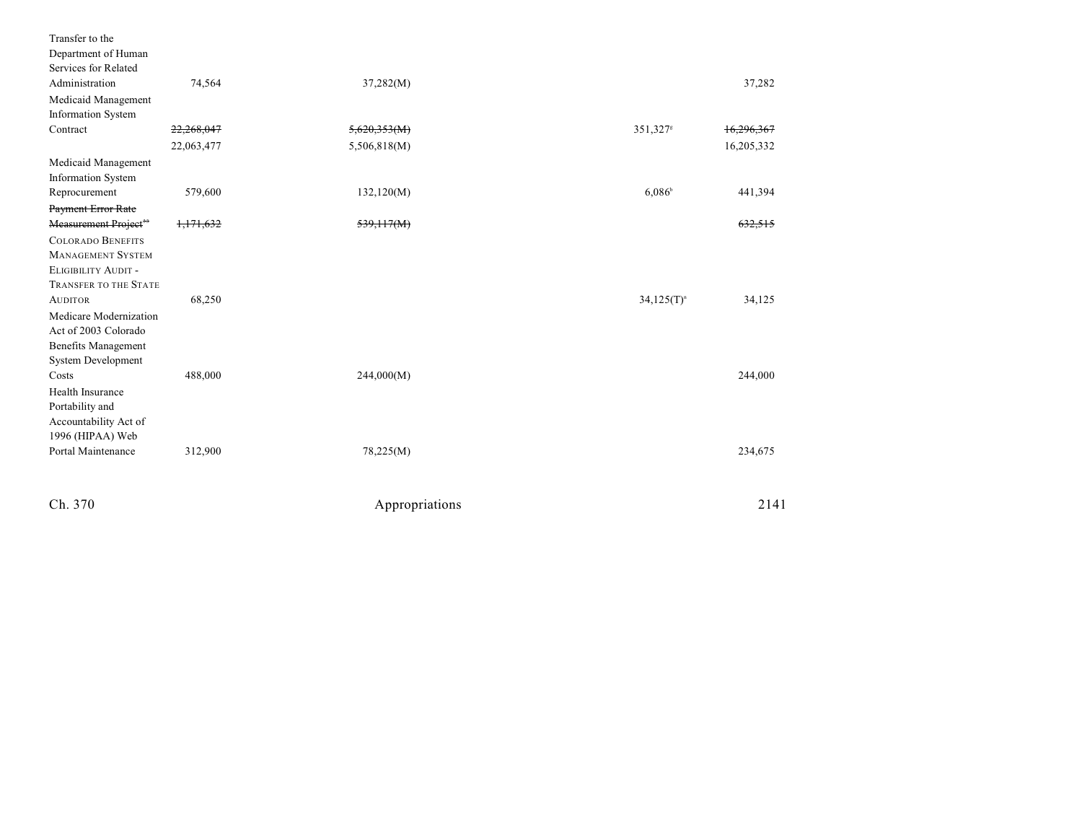| Transfer to the                   |            |                |                      |            |
|-----------------------------------|------------|----------------|----------------------|------------|
| Department of Human               |            |                |                      |            |
| Services for Related              |            |                |                      |            |
| Administration                    | 74,564     | 37,282(M)      |                      | 37,282     |
| Medicaid Management               |            |                |                      |            |
| <b>Information System</b>         |            |                |                      |            |
| Contract                          | 22,268,047 | 5,620,353(M)   | 351,327 <sup>s</sup> | 16,296,367 |
|                                   | 22,063,477 | 5,506,818(M)   |                      | 16,205,332 |
| Medicaid Management               |            |                |                      |            |
| Information System                |            |                |                      |            |
| Reprocurement                     | 579,600    | 132,120(M)     | $6,086^{\circ}$      | 441,394    |
| Payment Error Rate                |            |                |                      |            |
| Measurement Project <sup>33</sup> | 1,171,632  | 539,117(M)     |                      | 632,515    |
| <b>COLORADO BENEFITS</b>          |            |                |                      |            |
| <b>MANAGEMENT SYSTEM</b>          |            |                |                      |            |
| ELIGIBILITY AUDIT -               |            |                |                      |            |
| TRANSFER TO THE STATE             |            |                |                      |            |
| <b>AUDITOR</b>                    | 68,250     |                | $34,125(T)^n$        | 34,125     |
| Medicare Modernization            |            |                |                      |            |
| Act of 2003 Colorado              |            |                |                      |            |
| <b>Benefits Management</b>        |            |                |                      |            |
| System Development                |            |                |                      |            |
| Costs                             | 488,000    | 244,000(M)     |                      | 244,000    |
| Health Insurance                  |            |                |                      |            |
| Portability and                   |            |                |                      |            |
| Accountability Act of             |            |                |                      |            |
| 1996 (HIPAA) Web                  |            |                |                      |            |
| Portal Maintenance                | 312,900    | 78,225(M)      |                      | 234,675    |
|                                   |            |                |                      |            |
| Ch. 370                           |            | Appropriations |                      | 2141       |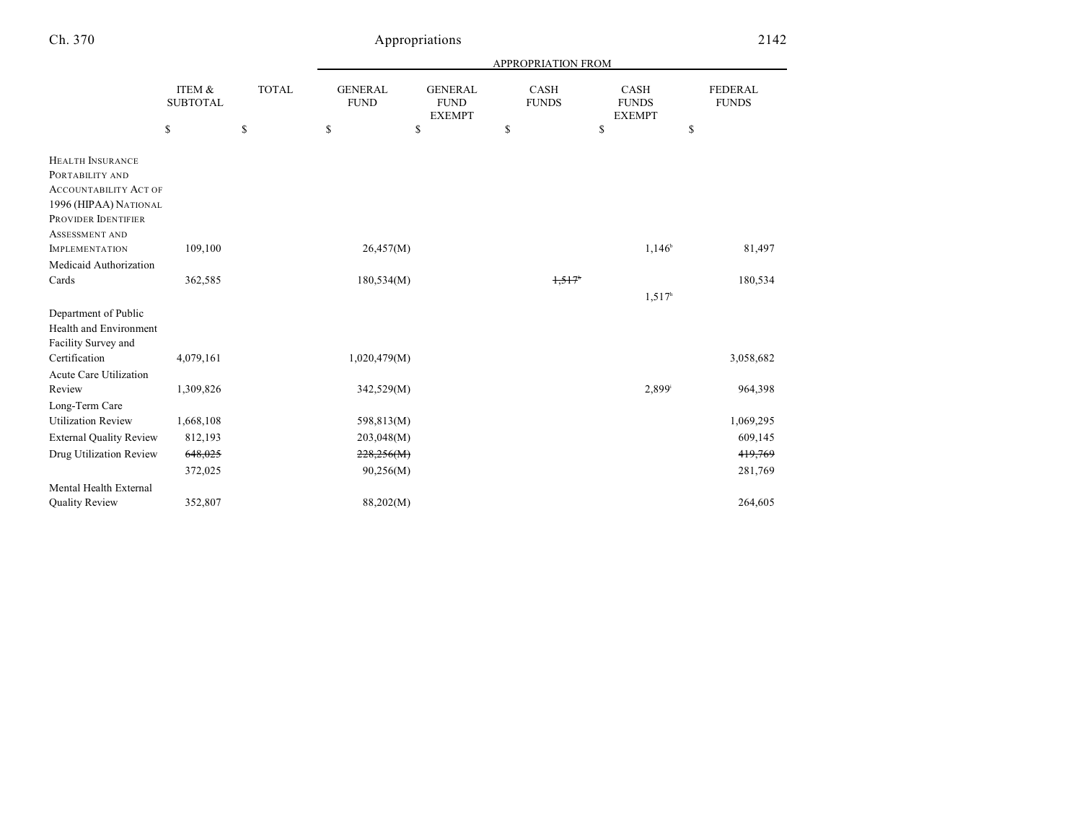|                                                                                                                                                     |                           |              | APPROPRIATION FROM            |                                                |                             |                                              |                                |  |
|-----------------------------------------------------------------------------------------------------------------------------------------------------|---------------------------|--------------|-------------------------------|------------------------------------------------|-----------------------------|----------------------------------------------|--------------------------------|--|
|                                                                                                                                                     | ITEM &<br><b>SUBTOTAL</b> | <b>TOTAL</b> | <b>GENERAL</b><br><b>FUND</b> | <b>GENERAL</b><br><b>FUND</b><br><b>EXEMPT</b> | <b>CASH</b><br><b>FUNDS</b> | <b>CASH</b><br><b>FUNDS</b><br><b>EXEMPT</b> | <b>FEDERAL</b><br><b>FUNDS</b> |  |
|                                                                                                                                                     | \$                        | \$           | \$                            | \$                                             | \$                          | \$                                           | \$                             |  |
| <b>HEALTH INSURANCE</b><br>PORTABILITY AND<br><b>ACCOUNTABILITY ACT OF</b><br>1996 (HIPAA) NATIONAL<br>PROVIDER IDENTIFIER<br><b>ASSESSMENT AND</b> |                           |              |                               |                                                |                             |                                              |                                |  |
| <b>IMPLEMENTATION</b>                                                                                                                               | 109,100                   |              | 26,457(M)                     |                                                |                             | 1,146 <sup>b</sup>                           | 81,497                         |  |
| Medicaid Authorization                                                                                                                              |                           |              |                               |                                                |                             |                                              |                                |  |
| Cards                                                                                                                                               | 362,585                   |              | 180,534(M)                    |                                                | 1,517                       | 1,517 <sup>h</sup>                           | 180,534                        |  |
| Department of Public<br>Health and Environment<br>Facility Survey and                                                                               |                           |              |                               |                                                |                             |                                              |                                |  |
| Certification<br><b>Acute Care Utilization</b>                                                                                                      | 4,079,161                 |              | 1,020,479(M)                  |                                                |                             |                                              | 3,058,682                      |  |
| Review                                                                                                                                              | 1,309,826                 |              | 342,529(M)                    |                                                |                             | 2,899 <sup>i</sup>                           | 964,398                        |  |
| Long-Term Care<br><b>Utilization Review</b>                                                                                                         | 1,668,108                 |              | 598,813(M)                    |                                                |                             |                                              | 1,069,295                      |  |
| <b>External Quality Review</b>                                                                                                                      | 812,193                   |              | 203,048(M)                    |                                                |                             |                                              | 609,145                        |  |
| Drug Utilization Review                                                                                                                             | 648,025                   |              | 228,256(M)                    |                                                |                             |                                              | 419,769                        |  |
|                                                                                                                                                     | 372,025                   |              | 90,256(M)                     |                                                |                             |                                              | 281,769                        |  |
| Mental Health External                                                                                                                              |                           |              |                               |                                                |                             |                                              |                                |  |
| <b>Quality Review</b>                                                                                                                               | 352,807                   |              | 88,202(M)                     |                                                |                             |                                              | 264,605                        |  |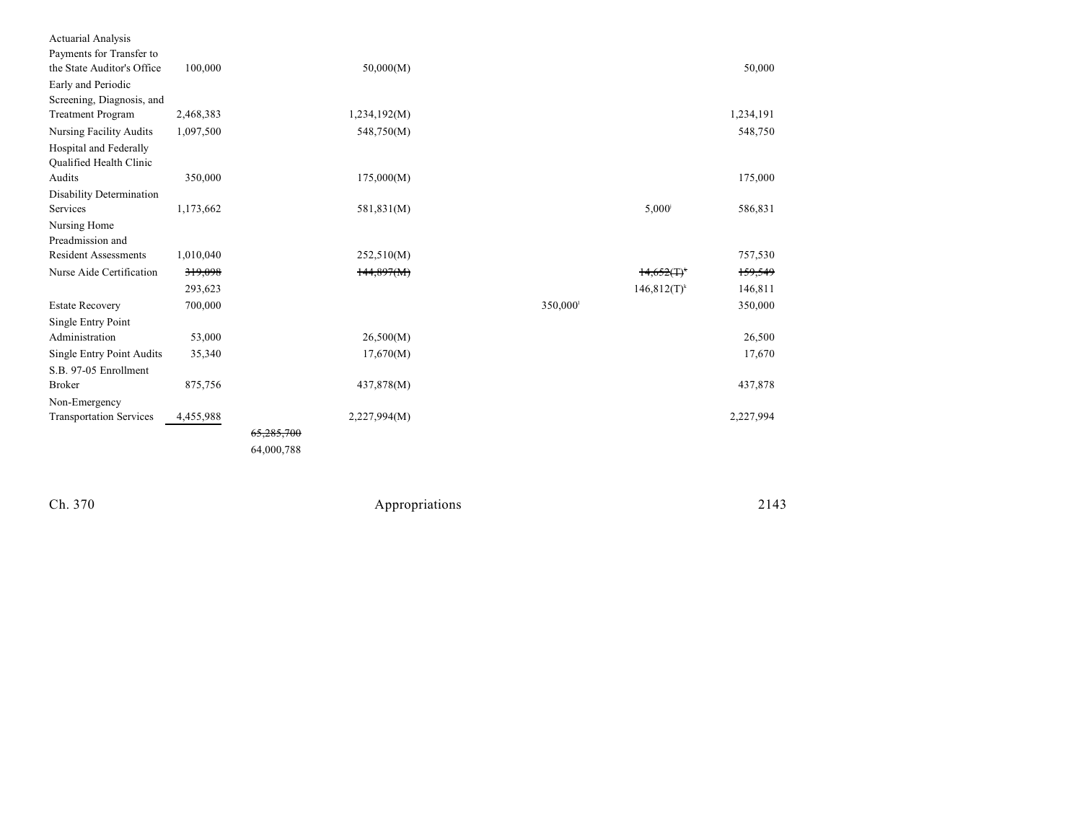| <b>Actuarial Analysis</b>        |           |            |              |         |                 |           |
|----------------------------------|-----------|------------|--------------|---------|-----------------|-----------|
| Payments for Transfer to         |           |            |              |         |                 |           |
| the State Auditor's Office       | 100,000   |            | 50,000(M)    |         |                 | 50,000    |
| Early and Periodic               |           |            |              |         |                 |           |
| Screening, Diagnosis, and        |           |            |              |         |                 |           |
| <b>Treatment Program</b>         | 2,468,383 |            | 1,234,192(M) |         |                 | 1,234,191 |
| <b>Nursing Facility Audits</b>   | 1,097,500 |            | 548,750(M)   |         |                 | 548,750   |
| Hospital and Federally           |           |            |              |         |                 |           |
| Qualified Health Clinic          |           |            |              |         |                 |           |
| Audits                           | 350,000   |            | 175,000(M)   |         |                 | 175,000   |
| Disability Determination         |           |            |              |         |                 |           |
| Services                         | 1,173,662 |            | 581,831(M)   |         | $5,000^{\circ}$ | 586,831   |
| Nursing Home                     |           |            |              |         |                 |           |
| Preadmission and                 |           |            |              |         |                 |           |
| <b>Resident Assessments</b>      | 1,010,040 |            | 252,510(M)   |         |                 | 757,530   |
| Nurse Aide Certification         | 319,098   |            | 144,897(M)   |         | $14,652(T)^{k}$ | 159,549   |
|                                  | 293,623   |            |              |         | $146,812(T)^k$  | 146,811   |
| <b>Estate Recovery</b>           | 700,000   |            |              | 350,000 |                 | 350,000   |
| Single Entry Point               |           |            |              |         |                 |           |
| Administration                   | 53,000    |            | 26,500(M)    |         |                 | 26,500    |
| <b>Single Entry Point Audits</b> | 35,340    |            | 17,670(M)    |         |                 | 17,670    |
| S.B. 97-05 Enrollment            |           |            |              |         |                 |           |
| <b>Broker</b>                    | 875,756   |            | 437,878(M)   |         |                 | 437,878   |
| Non-Emergency                    |           |            |              |         |                 |           |
| <b>Transportation Services</b>   | 4,455,988 |            | 2,227,994(M) |         |                 | 2,227,994 |
|                                  |           | 65,285,700 |              |         |                 |           |
|                                  |           | 64,000,788 |              |         |                 |           |
|                                  |           |            |              |         |                 |           |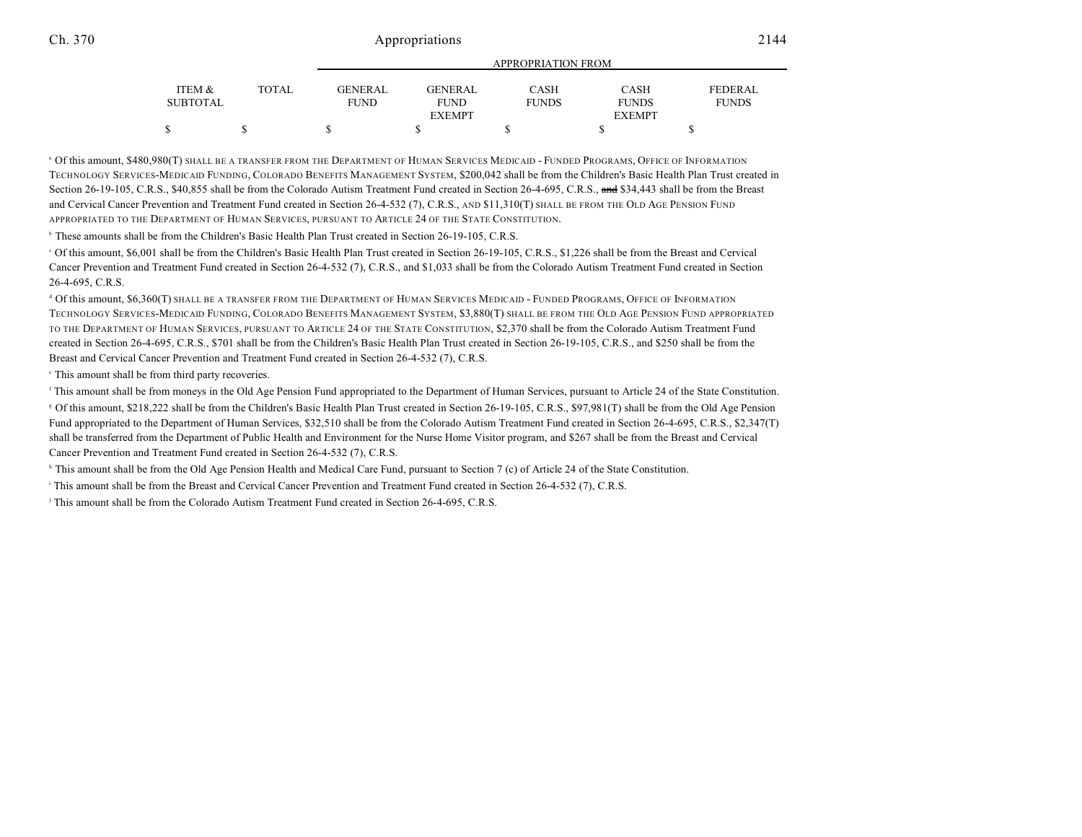|                 |       | <b>APPROPRIATION FROM</b> |                |              |               |                |  |
|-----------------|-------|---------------------------|----------------|--------------|---------------|----------------|--|
| ITEM &          | TOTAL | <b>GENERAL</b>            | <b>GENERAL</b> | <b>CASH</b>  | <b>CASH</b>   | <b>FEDERAL</b> |  |
| <b>SUBTOTAL</b> |       | <b>FUND</b>               | <b>FUND</b>    | <b>FUNDS</b> | <b>FUNDS</b>  | <b>FUNDS</b>   |  |
|                 |       |                           | <b>EXEMPT</b>  |              | <b>EXEMPT</b> |                |  |
|                 |       |                           |                |              |               |                |  |

<sup>a</sup> Of this amount, \$480,980(T) SHALL BE A TRANSFER FROM THE DEPARTMENT OF HUMAN SERVICES MEDICAID - FUNDED PROGRAMS, OFFICE OF INFORMATION TECHNOLOGY SERVICES-MEDICAID FUNDING, COLORADO BENEFITS MANAGEMENT SYSTEM, \$200,042 shall be from the Children's Basic Health Plan Trust created in Section 26-19-105, C.R.S., \$40,855 shall be from the Colorado Autism Treatment Fund created in Section 26-4-695, C.R.S., and \$34,443 shall be from the Breast and Cervical Cancer Prevention and Treatment Fund created in Section 26-4-532 (7), C.R.S., AND \$11,310(T) SHALL BE FROM THE OLD AGE PENSION FUND APPROPRIATED TO THE DEPARTMENT OF HUMAN SERVICES, PURSUANT TO ARTICLE 24 OF THE STATE CONSTITUTION.

<sup>b</sup> These amounts shall be from the Children's Basic Health Plan Trust created in Section 26-19-105, C.R.S.

 Of this amount, \$6,001 shall be from the Children's Basic Health Plan Trust created in Section 26-19-105, C.R.S., \$1,226 shall be from the Breast and Cervical <sup>c</sup> Cancer Prevention and Treatment Fund created in Section 26-4-532 (7), C.R.S., and \$1,033 shall be from the Colorado Autism Treatment Fund created in Section 26-4-695, C.R.S.

<sup>d</sup> Of this amount, \$6,360(T) SHALL BE A TRANSFER FROM THE DEPARTMENT OF HUMAN SERVICES MEDICAID - FUNDED PROGRAMS, OFFICE OF INFORMATION TECHNOLOGY SERVICES-MEDICAID FUNDING, COLORADO BENEFITS MANAGEMENT SYSTEM, \$3,880(T) SHALL BE FROM THE OLD AGE PENSION FUND APPROPRIATED TO THE DEPARTMENT OF HUMAN SERVICES, PURSUANT TO ARTICLE 24 OF THE STATE CONSTITUTION, \$2,370 shall be from the Colorado Autism Treatment Fund created in Section 26-4-695, C.R.S., \$701 shall be from the Children's Basic Health Plan Trust created in Section 26-19-105, C.R.S., and \$250 shall be from the Breast and Cervical Cancer Prevention and Treatment Fund created in Section 26-4-532 (7), C.R.S.

 $\cdot$  This amount shall be from third party recoveries.

<sup>f</sup> This amount shall be from moneys in the Old Age Pension Fund appropriated to the Department of Human Services, pursuant to Article 24 of the State Constitution.

<sup>8</sup> Of this amount, \$218,222 shall be from the Children's Basic Health Plan Trust created in Section 26-19-105, C.R.S., \$97,981(T) shall be from the Old Age Pension Fund appropriated to the Department of Human Services, \$32,510 shall be from the Colorado Autism Treatment Fund created in Section 26-4-695, C.R.S., \$2,347(T) shall be transferred from the Department of Public Health and Environment for the Nurse Home Visitor program, and \$267 shall be from the Breast and Cervical Cancer Prevention and Treatment Fund created in Section 26-4-532 (7), C.R.S.

<sup>h</sup> This amount shall be from the Old Age Pension Health and Medical Care Fund, pursuant to Section 7 (c) of Article 24 of the State Constitution.

This amount shall be from the Breast and Cervical Cancer Prevention and Treatment Fund created in Section 26-4-532 (7), C.R.S.

<sup>j</sup> This amount shall be from the Colorado Autism Treatment Fund created in Section 26-4-695, C.R.S.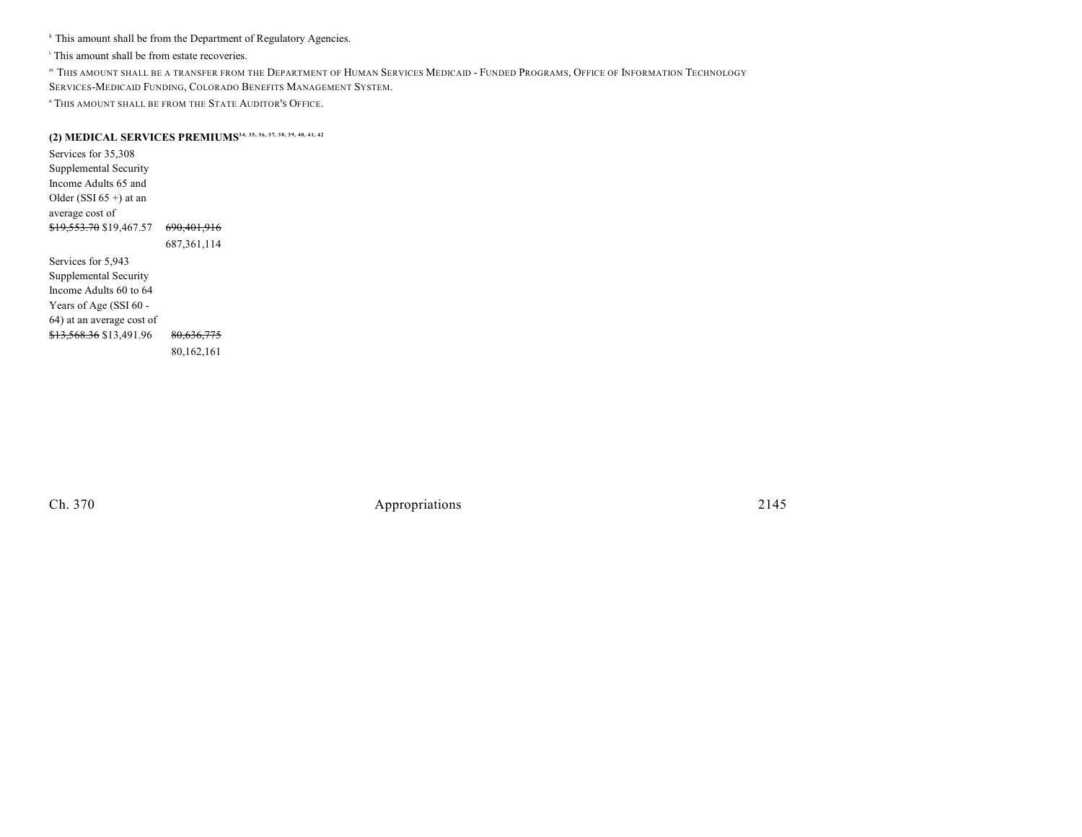<sup>k</sup> This amount shall be from the Department of Regulatory Agencies.

<sup>1</sup> This amount shall be from estate recoveries.

 THIS AMOUNT SHALL BE A TRANSFER FROM THE DEPARTMENT OF HUMAN SERVICES MEDICAID - FUNDED PROGRAMS, OFFICE OF INFORMATION TECHNOLOGY <sup>m</sup> SERVICES-MEDICAID FUNDING, COLORADO BENEFITS MANAGEMENT SYSTEM.

<sup>n</sup> This amount shall be from the State Auditor's Office.

# **(2) MEDICAL SERVICES PREMIUMS34, 35, 36, 37, 38, 39, 40, 41, 42**

Services for 35,308 Supplemental Security Income Adults 65 and Older (SSI  $65 +$ ) at an average cost of \$19,553.70 \$19,467.57 690,401,916 687,361,114 Services for 5,943 Supplemental Security Income Adults 60 to 64 Years of Age (SSI 60 -64) at an average cost of \$13,568.36 \$13,491.96 80,636,775

80,162,161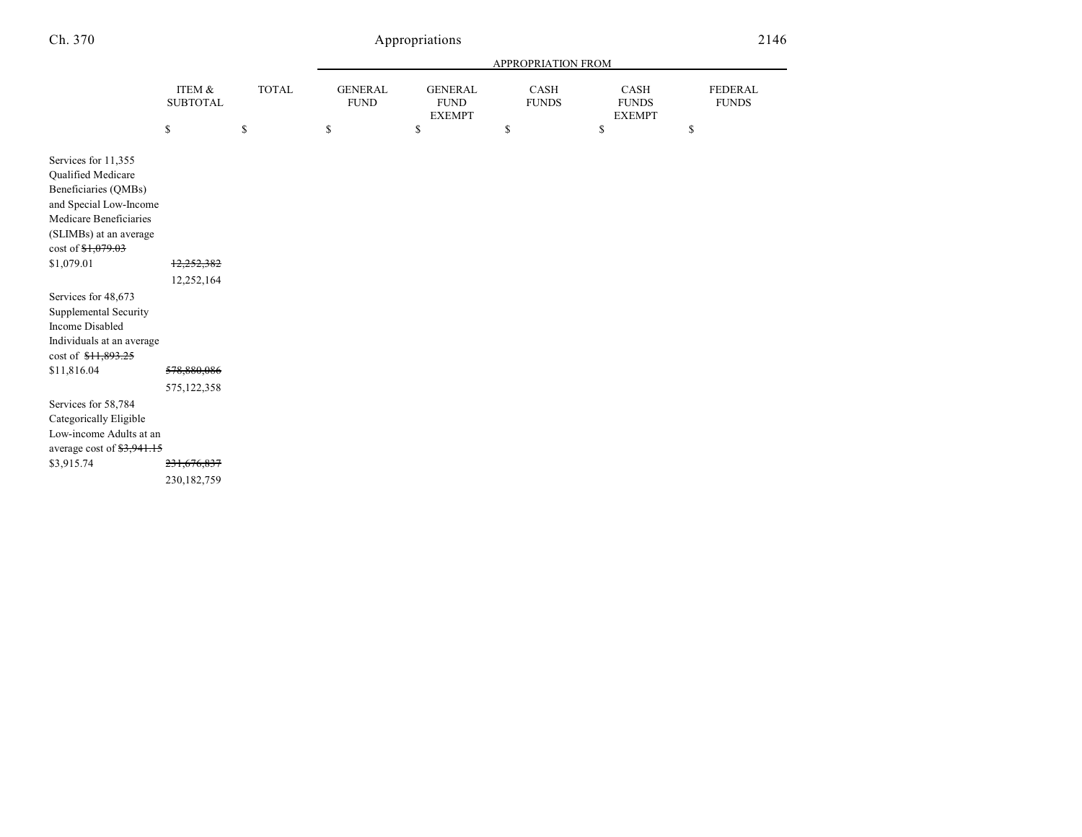# Appropriations 2146

|                                                                                                                                                 |                                           |              | APPROPRIATION FROM            |                                                |                      |                                       |                                |  |
|-------------------------------------------------------------------------------------------------------------------------------------------------|-------------------------------------------|--------------|-------------------------------|------------------------------------------------|----------------------|---------------------------------------|--------------------------------|--|
|                                                                                                                                                 | ITEM &<br><b>SUBTOTAL</b>                 | <b>TOTAL</b> | <b>GENERAL</b><br><b>FUND</b> | <b>GENERAL</b><br><b>FUND</b><br><b>EXEMPT</b> | CASH<br><b>FUNDS</b> | CASH<br><b>FUNDS</b><br><b>EXEMPT</b> | <b>FEDERAL</b><br><b>FUNDS</b> |  |
|                                                                                                                                                 | \$                                        | \$           | \$                            | \$                                             | \$                   | \$                                    | \$                             |  |
| Services for 11,355<br>Qualified Medicare<br>Beneficiaries (QMBs)<br>and Special Low-Income<br>Medicare Beneficiaries<br>(SLIMBs) at an average |                                           |              |                               |                                                |                      |                                       |                                |  |
| \$1,079.01                                                                                                                                      | 12,252,382                                |              |                               |                                                |                      |                                       |                                |  |
| Services for 48,673<br>Supplemental Security<br><b>Income Disabled</b><br>Individuals at an average<br>cost of \$11,893.25                      | 12,252,164                                |              |                               |                                                |                      |                                       |                                |  |
| \$11,816.04                                                                                                                                     | 578,880,086                               |              |                               |                                                |                      |                                       |                                |  |
| Services for 58,784<br>Categorically Eligible<br>Low-income Adults at an<br>average cost of \$3,941.15<br>\$3,915.74                            | 575,122,358<br>231,676,837<br>230,182,759 |              |                               |                                                |                      |                                       |                                |  |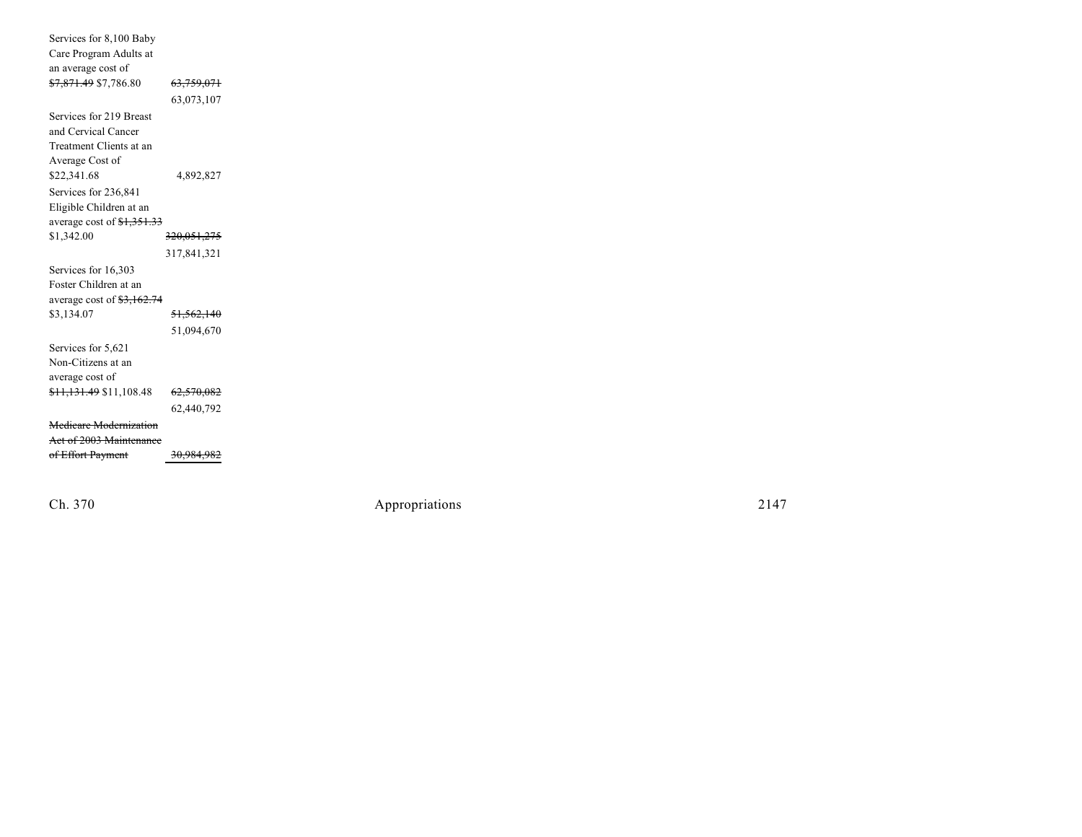| Services for 8,100 Baby               |                        |
|---------------------------------------|------------------------|
| Care Program Adults at                |                        |
| an average cost of                    |                        |
| <del>\$7,871.49</del> \$7,786.80      | <del>63,759,071</del>  |
|                                       | 63,073,107             |
| Services for 219 Breast               |                        |
| and Cervical Cancer                   |                        |
| Treatment Clients at an               |                        |
| Average Cost of                       |                        |
| \$22,341.68                           | 4,892,827              |
| Services for 236,841                  |                        |
| Eligible Children at an               |                        |
| average cost of <del>\$1,351.33</del> |                        |
| \$1,342.00                            | <del>320,051,275</del> |
|                                       | 317,841,321            |
| Services for 16,303                   |                        |
| Foster Children at an                 |                        |
| average cost of $\frac{12.74}{2.74}$  |                        |
| \$3,134.07                            | <del>51,562,140</del>  |
|                                       | 51,094,670             |
| Services for 5,621                    |                        |
| Non-Citizens at an                    |                        |
| average cost of                       |                        |
| <del>\$11,131.49</del> \$11,108.48    | <del>62,570,082</del>  |
|                                       | 62,440,792             |
| Medicare Modernization                |                        |
| Act of 2003 Maintenance               |                        |
| of Effort Payment                     | <del>30,984,982</del>  |

Ch. 370

Appropr iat

ions 2147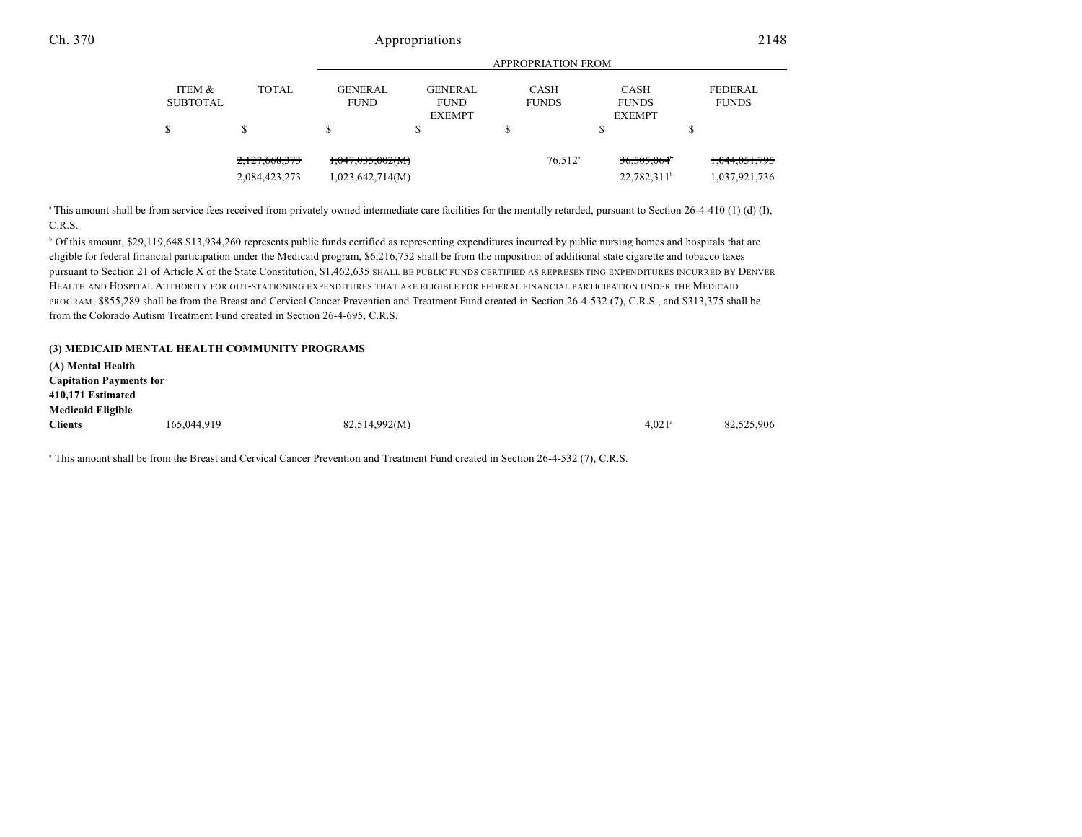|                           |                                | <b>APPROPRIATION FROM</b>               |                                                |                             |                                                    |                                |  |  |
|---------------------------|--------------------------------|-----------------------------------------|------------------------------------------------|-----------------------------|----------------------------------------------------|--------------------------------|--|--|
| ITEM &<br><b>SUBTOTAL</b> | <b>TOTAL</b>                   | <b>GENERAL</b><br><b>FUND</b>           | <b>GENERAL</b><br><b>FUND</b><br><b>EXEMPT</b> | <b>CASH</b><br><b>FUNDS</b> | <b>CASH</b><br><b>FUNDS</b><br><b>EXEMPT</b>       | <b>FEDERAL</b><br><b>FUNDS</b> |  |  |
|                           |                                | J.                                      | \$                                             |                             | \$                                                 |                                |  |  |
|                           | 2,127,668,373<br>2,084,423,273 | $+0.047,035,002(M)$<br>1,023,642,714(M) |                                                | $76,512$ <sup>a</sup>       | 36,505,064 <sup>*</sup><br>22,782,311 <sup>b</sup> | 1,044,051,795<br>1,037,921,736 |  |  |

<sup>a</sup> This amount shall be from service fees received from privately owned intermediate care facilities for the mentally retarded, pursuant to Section 26-4-410 (1) (d) (I), C.R.S.

<sup>b</sup> Of this amount, \$29,119,648 \$13,934,260 represents public funds certified as representing expenditures incurred by public nursing homes and hospitals that are eligible for federal financial participation under the Medicaid program, \$6,216,752 shall be from the imposition of additional state cigarette and tobacco taxes pursuant to Section 21 of Article X of the State Constitution, \$1,462,635 SHALL BE PUBLIC FUNDS CERTIFIED AS REPRESENTING EXPENDITURES INCURRED BY DENVER HEALTH AND HOSPITAL AUTHORITY FOR OUT-STATIONING EXPENDITURES THAT ARE ELIGIBLE FOR FEDERAL FINANCIAL PARTICIPATION UNDER THE MEDICAID PROGRAM, \$855,289 shall be from the Breast and Cervical Cancer Prevention and Treatment Fund created in Section 26-4-532 (7), C.R.S., and \$313,375 shall be from the Colorado Autism Treatment Fund created in Section 26-4-695, C.R.S.

| (3) MEDICAID MENTAL HEALTH COMMUNITY PROGRAMS |               |                      |            |
|-----------------------------------------------|---------------|----------------------|------------|
| (A) Mental Health                             |               |                      |            |
| <b>Capitation Payments for</b>                |               |                      |            |
| 410,171 Estimated                             |               |                      |            |
| <b>Medicaid Eligible</b>                      |               |                      |            |
| <b>Clients</b><br>165,044,919                 | 82,514,992(M) | $4.021$ <sup>a</sup> | 82,525,906 |

<sup>a</sup> This amount shall be from the Breast and Cervical Cancer Prevention and Treatment Fund created in Section 26-4-532 (7), C.R.S.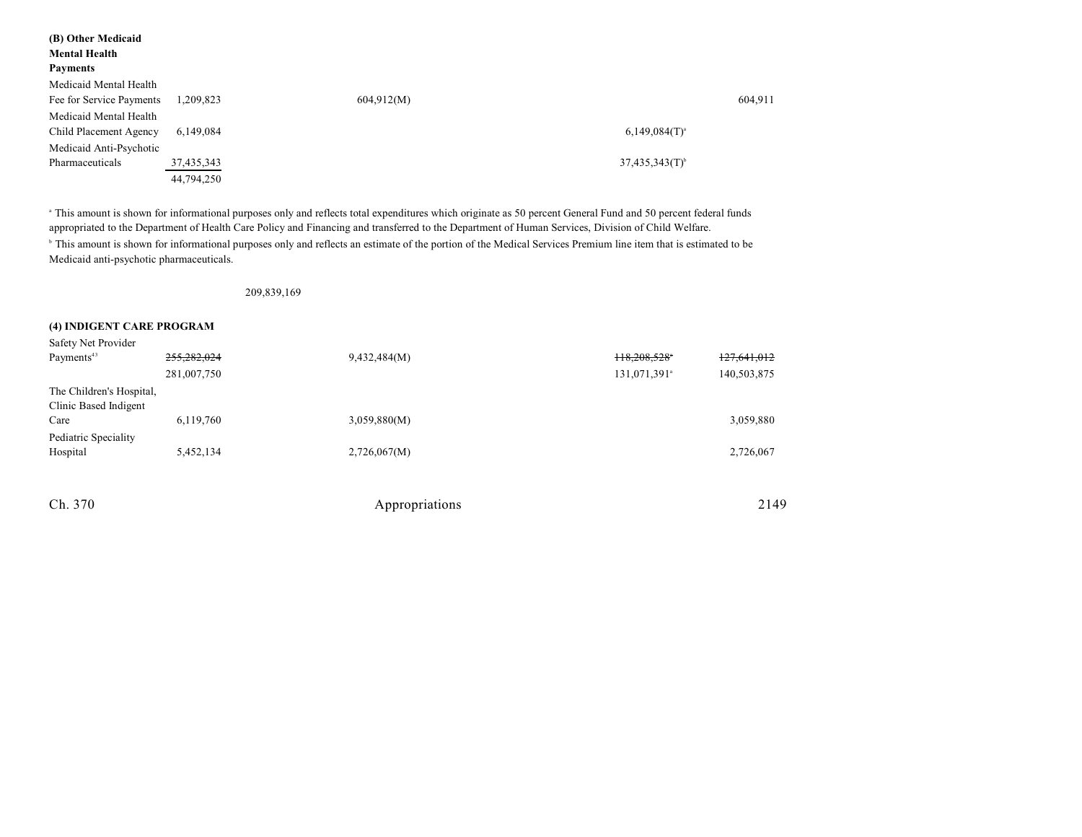| (B) Other Medicaid<br><b>Mental Health</b><br><b>Payments</b> |            |                              |         |
|---------------------------------------------------------------|------------|------------------------------|---------|
| Medicaid Mental Health                                        |            |                              |         |
| Fee for Service Payments                                      | 1,209,823  | 604.912(M)                   | 604,911 |
| Medicaid Mental Health                                        |            |                              |         |
| Child Placement Agency                                        | 6,149,084  | $6,149,084(T)^{a}$           |         |
| Medicaid Anti-Psychotic                                       |            |                              |         |
| Pharmaceuticals                                               | 37,435,343 | $37,435,343(T)$ <sup>b</sup> |         |
|                                                               | 44,794,250 |                              |         |

<sup>a</sup> This amount is shown for informational purposes only and reflects total expenditures which originate as 50 percent General Fund and 50 percent federal funds appropriated to the Department of Health Care Policy and Financing and transferred to the Department of Human Services, Division of Child Welfare. <sup>b</sup> This amount is shown for informational purposes only and reflects an estimate of the portion of the Medical Services Premium line item that is estimated to be Medicaid anti-psychotic pharmaceuticals.

209,839,169

#### **(4) INDIGENT CARE PROGRAM**

| Safety Net Provider      |             |                |                          |             |
|--------------------------|-------------|----------------|--------------------------|-------------|
| Payments <sup>43</sup>   | 255,282,024 | 9,432,484(M)   | 118,208,528              | 127,641,012 |
|                          | 281,007,750 |                | 131,071,391 <sup>a</sup> | 140,503,875 |
| The Children's Hospital, |             |                |                          |             |
| Clinic Based Indigent    |             |                |                          |             |
| Care                     | 6,119,760   | 3,059,880(M)   |                          | 3,059,880   |
| Pediatric Speciality     |             |                |                          |             |
| Hospital                 | 5,452,134   | 2,726,067(M)   |                          | 2,726,067   |
|                          |             |                |                          |             |
|                          |             |                |                          |             |
| Ch. 370                  |             | Appropriations |                          | 2149        |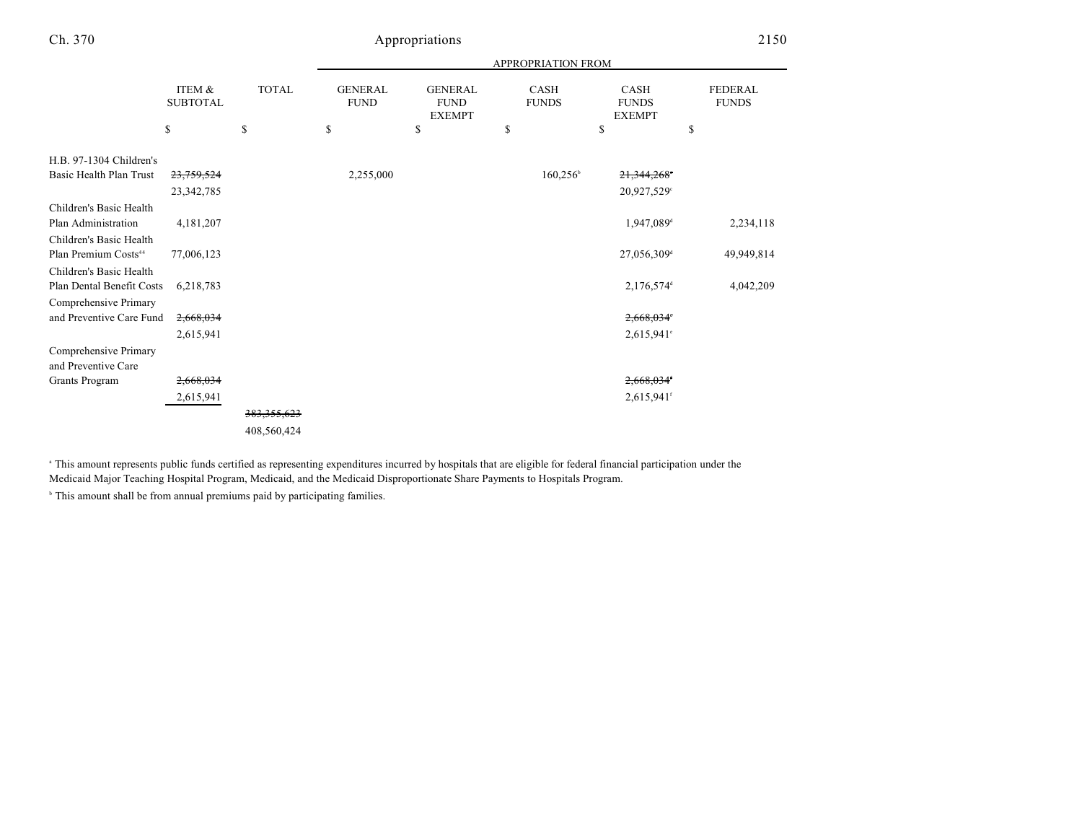|                                              |                                 |                    |                                     |                                                      | APPROPRIATION FROM         |                                                    |                                      |
|----------------------------------------------|---------------------------------|--------------------|-------------------------------------|------------------------------------------------------|----------------------------|----------------------------------------------------|--------------------------------------|
|                                              | ITEM &<br><b>SUBTOTAL</b><br>\$ | <b>TOTAL</b><br>\$ | <b>GENERAL</b><br><b>FUND</b><br>\$ | <b>GENERAL</b><br><b>FUND</b><br><b>EXEMPT</b><br>\$ | CASH<br><b>FUNDS</b><br>\$ | <b>CASH</b><br><b>FUNDS</b><br><b>EXEMPT</b><br>\$ | <b>FEDERAL</b><br><b>FUNDS</b><br>\$ |
| H.B. 97-1304 Children's                      |                                 |                    |                                     |                                                      |                            |                                                    |                                      |
| Basic Health Plan Trust                      | 23,759,524                      |                    | 2,255,000                           |                                                      | $160,256^{\circ}$          | 21,344,268                                         |                                      |
|                                              | 23, 342, 785                    |                    |                                     |                                                      |                            | 20,927,529°                                        |                                      |
| Children's Basic Health                      |                                 |                    |                                     |                                                      |                            |                                                    |                                      |
| Plan Administration                          | 4,181,207                       |                    |                                     |                                                      |                            | 1,947,089 <sup>d</sup>                             | 2,234,118                            |
| Children's Basic Health                      |                                 |                    |                                     |                                                      |                            |                                                    |                                      |
| Plan Premium Costs <sup>44</sup>             | 77,006,123                      |                    |                                     |                                                      |                            | 27,056,309 <sup>d</sup>                            | 49,949,814                           |
| Children's Basic Health                      |                                 |                    |                                     |                                                      |                            |                                                    |                                      |
| Plan Dental Benefit Costs                    | 6,218,783                       |                    |                                     |                                                      |                            | 2,176,574 <sup>d</sup>                             | 4,042,209                            |
| Comprehensive Primary                        |                                 |                    |                                     |                                                      |                            |                                                    |                                      |
| and Preventive Care Fund                     | 2,668,034                       |                    |                                     |                                                      |                            | $2,668,034$ °                                      |                                      |
|                                              | 2,615,941                       |                    |                                     |                                                      |                            | $2,615,941^{\circ}$                                |                                      |
| Comprehensive Primary<br>and Preventive Care |                                 |                    |                                     |                                                      |                            |                                                    |                                      |
| Grants Program                               | 2,668,034                       |                    |                                     |                                                      |                            | 2,668,034                                          |                                      |
|                                              | 2,615,941                       |                    |                                     |                                                      |                            | 2,615,941f                                         |                                      |
|                                              |                                 | 383, 355, 623      |                                     |                                                      |                            |                                                    |                                      |
|                                              |                                 | 408,560,424        |                                     |                                                      |                            |                                                    |                                      |

<sup>a</sup> This amount represents public funds certified as representing expenditures incurred by hospitals that are eligible for federal financial participation under the Medicaid Major Teaching Hospital Program, Medicaid, and the Medicaid Disproportionate Share Payments to Hospitals Program.

 $^{\circ}$  This amount shall be from annual premiums paid by participating families.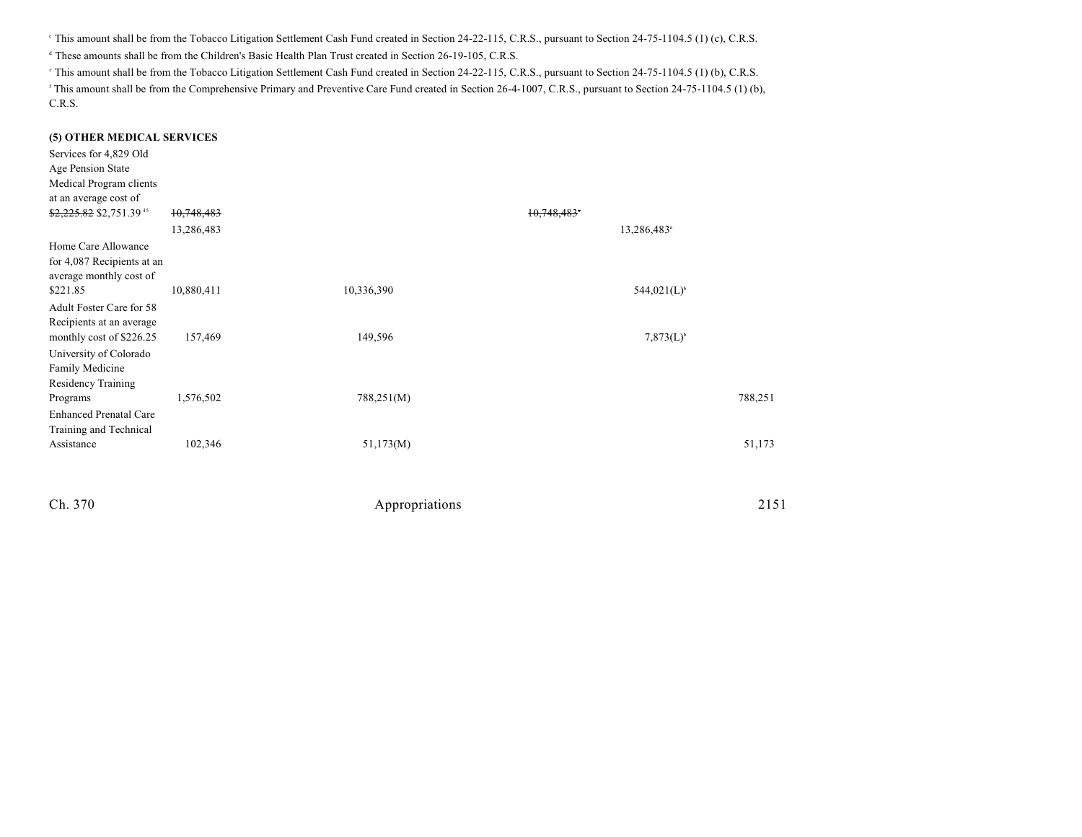<sup>e</sup> This amount shall be from the Tobacco Litigation Settlement Cash Fund created in Section 24-22-115, C.R.S., pursuant to Section 24-75-1104.5 (1) (c), C.R.S.

<sup>d</sup> These amounts shall be from the Children's Basic Health Plan Trust created in Section 26-19-105, C.R.S.

<sup>e</sup> This amount shall be from the Tobacco Litigation Settlement Cash Fund created in Section 24-22-115, C.R.S., pursuant to Section 24-75-1104.5 (1) (b), C.R.S.

<sup>r</sup> This amount shall be from the Comprehensive Primary and Preventive Care Fund created in Section 26-4-1007, C.R.S., pursuant to Section 24-75-1104.5 (1) (b), C.R.S.

#### **(5) OTHER MEDICAL SERVICES**

| Services for 4,829 Old<br>Age Pension State<br>Medical Program clients<br>at an average cost of |            |            |             |                         |
|-------------------------------------------------------------------------------------------------|------------|------------|-------------|-------------------------|
| \$2,225.82 \$2,751.39 <sup>45</sup>                                                             | 10,748,483 |            | 10,748,483* |                         |
|                                                                                                 | 13,286,483 |            |             | 13,286,483 <sup>a</sup> |
| Home Care Allowance<br>for 4,087 Recipients at an<br>average monthly cost of                    |            |            |             |                         |
| \$221.85                                                                                        | 10,880,411 | 10,336,390 |             | $544,021(L)^{b}$        |
| Adult Foster Care for 58<br>Recipients at an average                                            |            |            |             |                         |
| monthly cost of \$226.25<br>University of Colorado<br>Family Medicine<br>Residency Training     | 157,469    | 149,596    |             | $7,873(L)^{6}$          |
| Programs<br><b>Enhanced Prenatal Care</b>                                                       | 1,576,502  | 788,251(M) |             | 788,251                 |
| Training and Technical                                                                          |            |            |             |                         |
| Assistance                                                                                      | 102,346    | 51,173(M)  |             | 51,173                  |
|                                                                                                 |            |            |             |                         |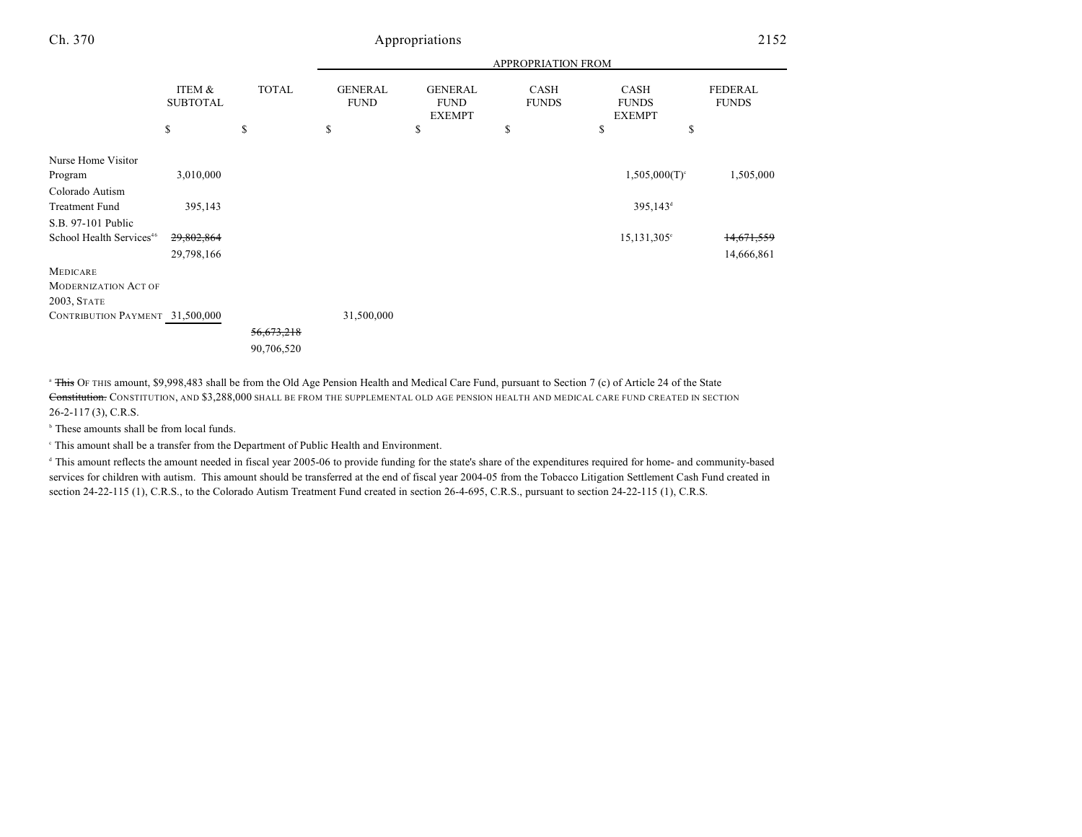|                                                                      |                           |              |                               |                                                | <b>APPROPRIATION FROM</b> |                                              |                                |
|----------------------------------------------------------------------|---------------------------|--------------|-------------------------------|------------------------------------------------|---------------------------|----------------------------------------------|--------------------------------|
|                                                                      | ITEM &<br><b>SUBTOTAL</b> | <b>TOTAL</b> | <b>GENERAL</b><br><b>FUND</b> | <b>GENERAL</b><br><b>FUND</b><br><b>EXEMPT</b> | CASH<br><b>FUNDS</b>      | <b>CASH</b><br><b>FUNDS</b><br><b>EXEMPT</b> | <b>FEDERAL</b><br><b>FUNDS</b> |
|                                                                      | \$                        | \$           | \$                            | \$                                             | \$                        | \$<br>\$                                     |                                |
| Nurse Home Visitor<br>Program                                        | 3,010,000                 |              |                               |                                                |                           | $1,505,000(T)$ <sup>c</sup>                  | 1,505,000                      |
| Colorado Autism<br><b>Treatment Fund</b>                             | 395,143                   |              |                               |                                                |                           | 395,143 <sup>d</sup>                         |                                |
| S.B. 97-101 Public<br>School Health Services <sup>46</sup>           | 29,802,864<br>29,798,166  |              |                               |                                                |                           | $15,131,305^{\circ}$                         | 14,671,559<br>14,666,861       |
| <b>MEDICARE</b><br><b>MODERNIZATION ACT OF</b><br><b>2003, STATE</b> |                           |              |                               |                                                |                           |                                              |                                |
| CONTRIBUTION PAYMENT 31,500,000                                      |                           |              | 31,500,000                    |                                                |                           |                                              |                                |
|                                                                      |                           | 56,673,218   |                               |                                                |                           |                                              |                                |
|                                                                      |                           | 90,706,520   |                               |                                                |                           |                                              |                                |

<sup>a</sup> This OF THIS amount, \$9,998,483 shall be from the Old Age Pension Health and Medical Care Fund, pursuant to Section 7 (c) of Article 24 of the State Constitution. CONSTITUTION, AND \$3,288,000 SHALL BE FROM THE SUPPLEMENTAL OLD AGE PENSION HEALTH AND MEDICAL CARE FUND CREATED IN SECTION 26-2-117 (3), C.R.S.

 $\,^{\circ}$  These amounts shall be from local funds.

This amount shall be a transfer from the Department of Public Health and Environment. <sup>c</sup>

 This amount reflects the amount needed in fiscal year 2005-06 to provide funding for the state's share of the expenditures required for home- and community-based <sup>d</sup> services for children with autism. This amount should be transferred at the end of fiscal year 2004-05 from the Tobacco Litigation Settlement Cash Fund created in section 24-22-115 (1), C.R.S., to the Colorado Autism Treatment Fund created in section 26-4-695, C.R.S., pursuant to section 24-22-115 (1), C.R.S.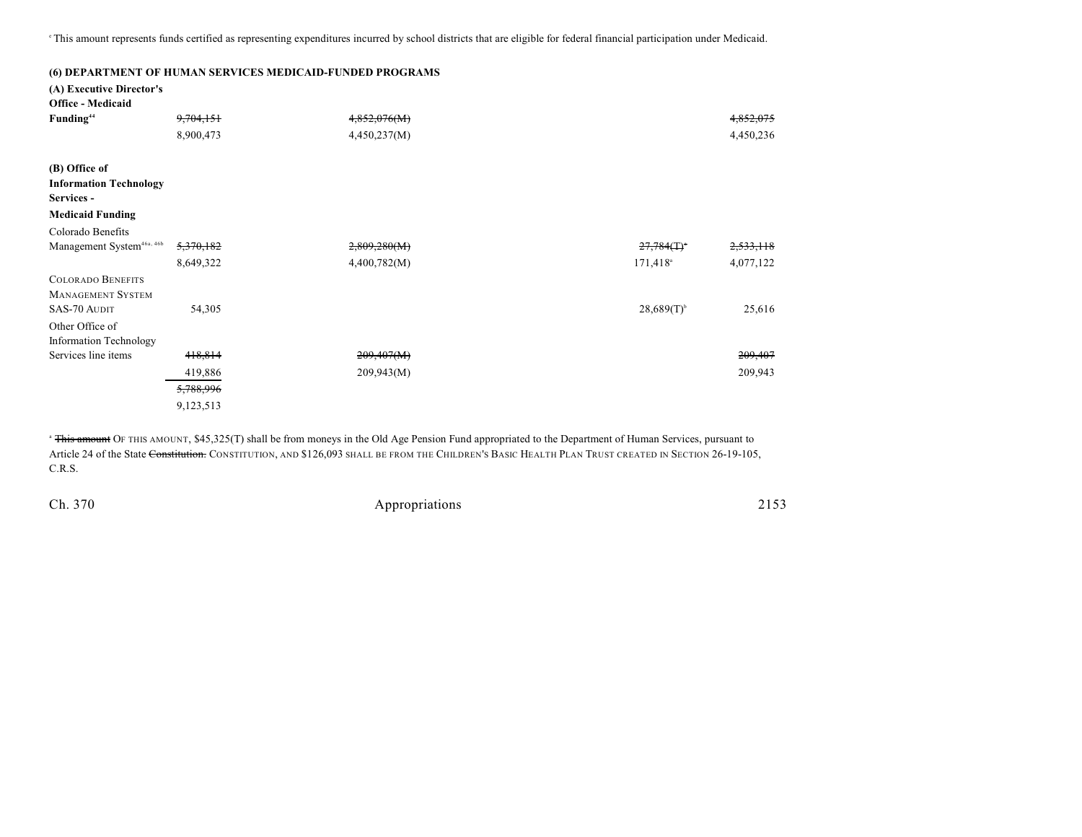<sup>e</sup>This amount represents funds certified as representing expenditures incurred by school districts that are eligible for federal financial participation under Medicaid.

|                                             |           | (6) DEPARTMENT OF HUMAN SERVICES MEDICAID-FUNDED PROGRAMS |                           |           |
|---------------------------------------------|-----------|-----------------------------------------------------------|---------------------------|-----------|
| (A) Executive Director's                    |           |                                                           |                           |           |
| <b>Office - Medicaid</b>                    |           |                                                           |                           |           |
| Funding <sup>44</sup>                       | 9,704,151 | 4,852,076(M)                                              |                           | 4,852,075 |
|                                             | 8,900,473 | 4,450,237(M)                                              |                           | 4,450,236 |
| (B) Office of                               |           |                                                           |                           |           |
| <b>Information Technology</b><br>Services - |           |                                                           |                           |           |
| <b>Medicaid Funding</b>                     |           |                                                           |                           |           |
| Colorado Benefits                           |           |                                                           |                           |           |
| Management System <sup>46a, 46b</sup>       | 5,370,182 | 2,809,280(M)                                              | $27,784($ T) <sup>*</sup> | 2,533,118 |
|                                             | 8,649,322 | 4,400,782(M)                                              | 171,418 <sup>a</sup>      | 4,077,122 |
| <b>COLORADO BENEFITS</b>                    |           |                                                           |                           |           |
| <b>MANAGEMENT SYSTEM</b>                    |           |                                                           |                           |           |
| SAS-70 AUDIT                                | 54,305    |                                                           | $28,689(T)$ <sup>b</sup>  | 25,616    |
| Other Office of                             |           |                                                           |                           |           |
| <b>Information Technology</b>               |           |                                                           |                           |           |
| Services line items                         | 418,814   | 209,407(M)                                                |                           | 209,407   |
|                                             | 419,886   | 209,943(M)                                                |                           | 209,943   |
|                                             | 5,788,996 |                                                           |                           |           |
|                                             | 9,123,513 |                                                           |                           |           |

<sup>a</sup> This amount OF THIS AMOUNT, \$45,325(T) shall be from moneys in the Old Age Pension Fund appropriated to the Department of Human Services, pursuant to Article 24 of the State Constitution. CONSTITUTION, AND \$126,093 SHALL BE FROM THE CHILDREN'S BASIC HEALTH PLAN TRUST CREATED IN SECTION 26-19-105, C.R.S.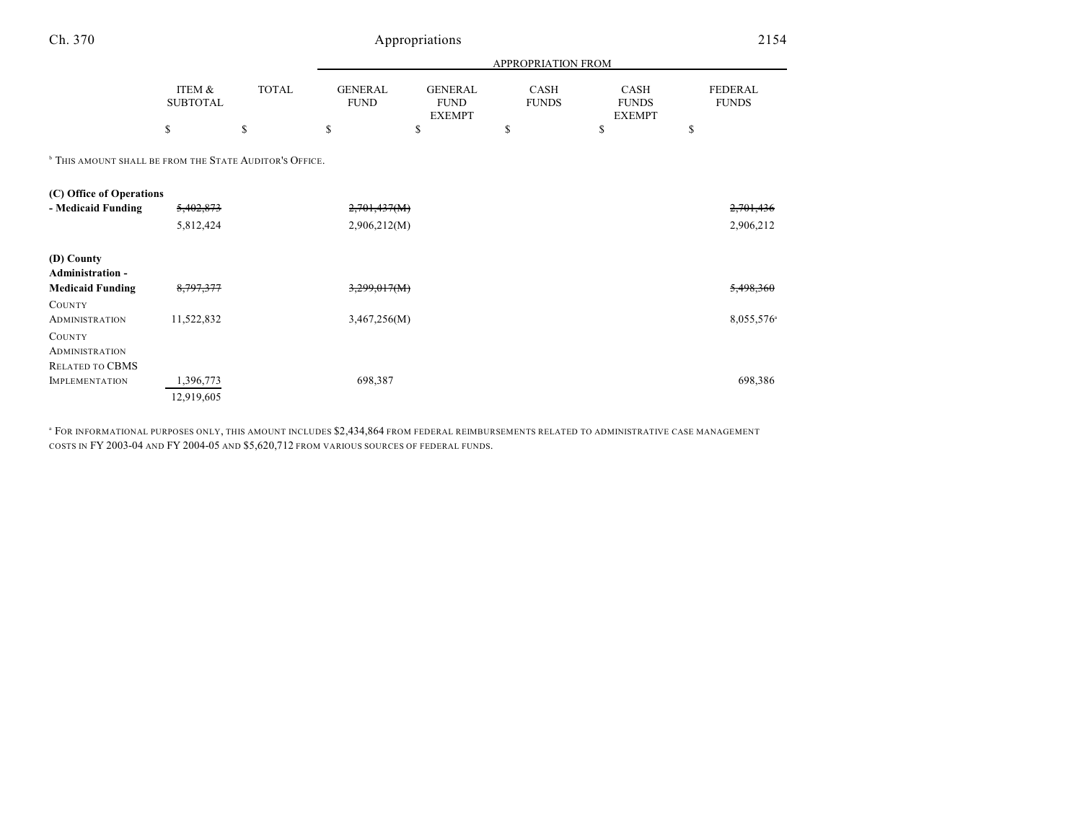| Ch. 370                                                            |                           | Appropriations |                               |                                                      | 2154                        |                                       |                                |
|--------------------------------------------------------------------|---------------------------|----------------|-------------------------------|------------------------------------------------------|-----------------------------|---------------------------------------|--------------------------------|
|                                                                    |                           |                |                               | APPROPRIATION FROM                                   |                             |                                       |                                |
|                                                                    | ITEM &<br><b>SUBTOTAL</b> | <b>TOTAL</b>   | <b>GENERAL</b><br><b>FUND</b> | <b>GENERAL</b><br><b>FUND</b><br><b>EXEMPT</b><br>\$ | <b>CASH</b><br><b>FUNDS</b> | CASH<br><b>FUNDS</b><br><b>EXEMPT</b> | <b>FEDERAL</b><br><b>FUNDS</b> |
|                                                                    | \$                        | <sup>\$</sup>  | \$                            |                                                      | \$                          | \$                                    | \$                             |
| <sup>b</sup> THIS AMOUNT SHALL BE FROM THE STATE AUDITOR'S OFFICE. |                           |                |                               |                                                      |                             |                                       |                                |
| (C) Office of Operations                                           |                           |                |                               |                                                      |                             |                                       |                                |
| - Medicaid Funding                                                 | 5,402,873                 |                | 2,701,437(M)                  |                                                      |                             |                                       | 2,701,436                      |
|                                                                    | 5,812,424                 |                | 2,906,212(M)                  |                                                      |                             |                                       | 2,906,212                      |
| (D) County<br>Administration -                                     |                           |                |                               |                                                      |                             |                                       |                                |
| <b>Medicaid Funding</b>                                            | 8,797,377                 |                | 3,299,017(M)                  |                                                      |                             |                                       | 5,498,360                      |
| COUNTY                                                             |                           |                |                               |                                                      |                             |                                       |                                |
| <b>ADMINISTRATION</b>                                              | 11,522,832                |                | 3,467,256(M)                  |                                                      |                             |                                       | 8,055,576 <sup>a</sup>         |
| <b>COUNTY</b>                                                      |                           |                |                               |                                                      |                             |                                       |                                |
| <b>ADMINISTRATION</b>                                              |                           |                |                               |                                                      |                             |                                       |                                |
| RELATED TO CBMS                                                    |                           |                |                               |                                                      |                             |                                       |                                |
| <b>IMPLEMENTATION</b>                                              | 1,396,773                 |                | 698,387                       |                                                      |                             |                                       | 698,386                        |
|                                                                    | 12,919,605                |                |                               |                                                      |                             |                                       |                                |

<sup>a</sup> FOR INFORMATIONAL PURPOSES ONLY, THIS AMOUNT INCLUDES \$2,434,864 FROM FEDERAL REIMBURSEMENTS RELATED TO ADMINISTRATIVE CASE MANAGEMENT COSTS IN FY 2003-04 AND FY 2004-05 AND \$5,620,712 FROM VARIOUS SOURCES OF FEDERAL FUNDS.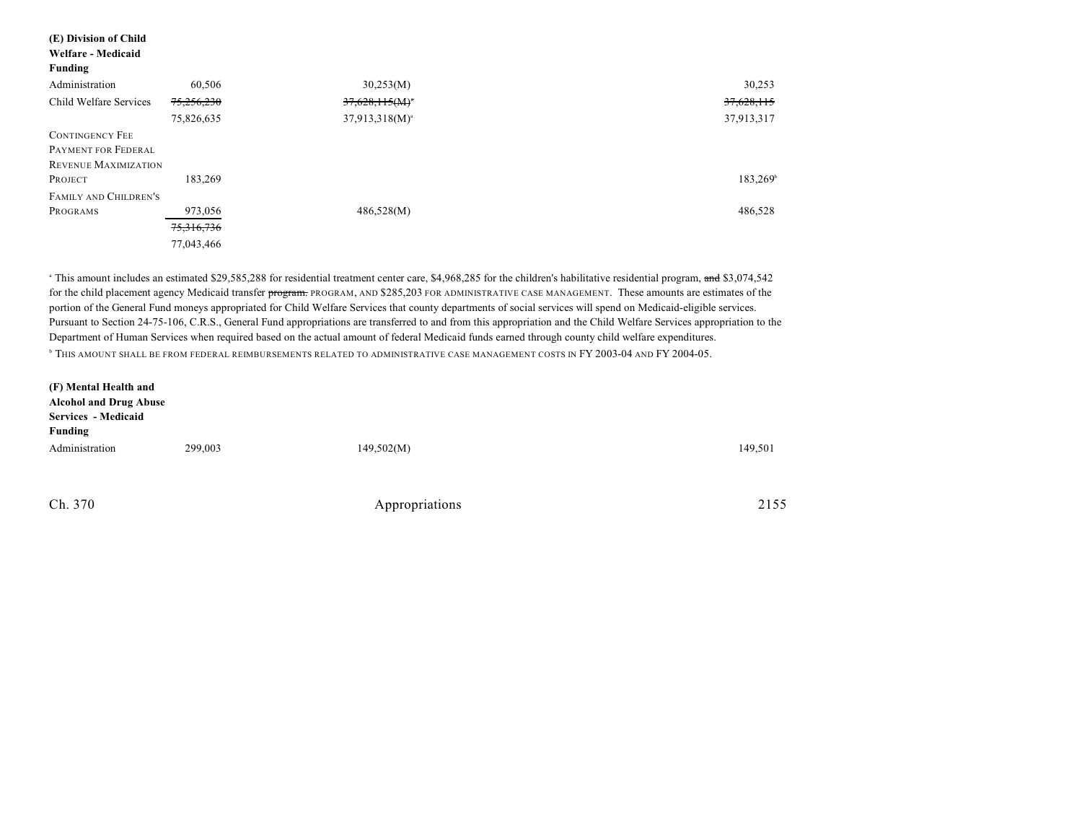| (E) Division of Child  |            |                     |            |
|------------------------|------------|---------------------|------------|
| Welfare - Medicaid     |            |                     |            |
| <b>Funding</b>         |            |                     |            |
| Administration         | 60,506     | 30,253(M)           | 30,253     |
| Child Welfare Services | 75,256,230 | $37,628,115(M)^*$   | 37,628,115 |
|                        | 75,826,635 | $37,913,318(M)^{a}$ | 37,913,317 |
| <b>CONTINGENCY FEE</b> |            |                     |            |
| PAYMENT FOR FEDERAL    |            |                     |            |
| REVENUE MAXIMIZATION   |            |                     |            |
| PROJECT                | 183,269    |                     | 183,269    |
| FAMILY AND CHILDREN'S  |            |                     |            |
| PROGRAMS               | 973,056    | 486,528(M)          | 486,528    |
|                        | 75,316,736 |                     |            |
|                        | 77,043,466 |                     |            |

<sup>a</sup> This amount includes an estimated \$29,585,288 for residential treatment center care, \$4,968,285 for the children's habilitative residential program, and \$3,074,542 for the child placement agency Medicaid transfer program. PROGRAM, AND \$285,203 FOR ADMINISTRATIVE CASE MANAGEMENT. These amounts are estimates of the portion of the General Fund moneys appropriated for Child Welfare Services that county departments of social services will spend on Medicaid-eligible services. Pursuant to Section 24-75-106, C.R.S., General Fund appropriations are transferred to and from this appropriation and the Child Welfare Services appropriation to the Department of Human Services when required based on the actual amount of federal Medicaid funds earned through county child welfare expenditures. **b** THIS AMOUNT SHALL BE FROM FEDERAL REIMBURSEMENTS RELATED TO ADMINISTRATIVE CASE MANAGEMENT COSTS IN FY 2003-04 AND FY 2004-05.

| (F) Mental Health and<br><b>Alcohol and Drug Abuse</b><br>Services - Medicaid<br>Funding |         |            |         |
|------------------------------------------------------------------------------------------|---------|------------|---------|
| Administration                                                                           | 299,003 | 149,502(M) | 149,501 |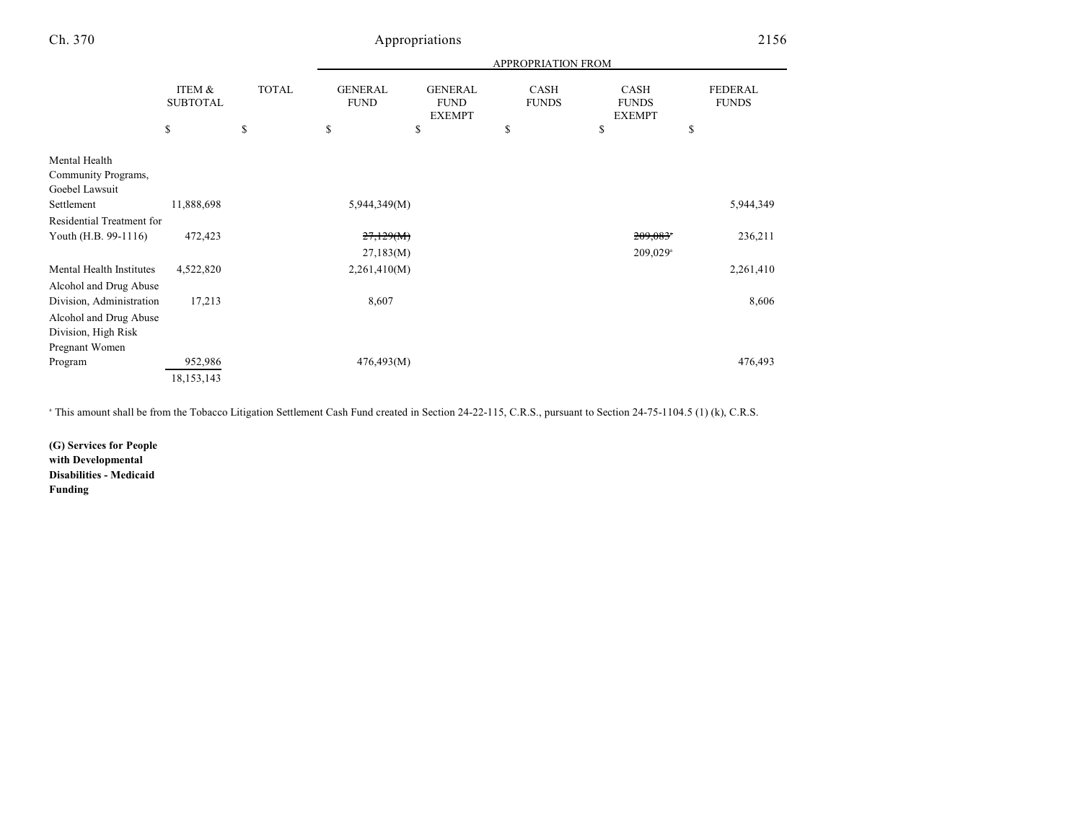|                                                                 |                           |              | APPROPRIATION FROM            |                                                |                      |                                       |                                |
|-----------------------------------------------------------------|---------------------------|--------------|-------------------------------|------------------------------------------------|----------------------|---------------------------------------|--------------------------------|
|                                                                 | ITEM &<br><b>SUBTOTAL</b> | <b>TOTAL</b> | <b>GENERAL</b><br><b>FUND</b> | <b>GENERAL</b><br><b>FUND</b><br><b>EXEMPT</b> | CASH<br><b>FUNDS</b> | CASH<br><b>FUNDS</b><br><b>EXEMPT</b> | <b>FEDERAL</b><br><b>FUNDS</b> |
|                                                                 | \$                        | \$           | \$                            | \$                                             | \$                   | \$                                    | \$                             |
| Mental Health<br>Community Programs,<br>Goebel Lawsuit          |                           |              |                               |                                                |                      |                                       |                                |
| Settlement                                                      | 11,888,698                |              | 5,944,349(M)                  |                                                |                      |                                       | 5,944,349                      |
| Residential Treatment for                                       |                           |              |                               |                                                |                      |                                       |                                |
| Youth (H.B. 99-1116)                                            | 472,423                   |              | 27,129(M)                     |                                                |                      | $209,083$ <sup>*</sup>                | 236,211                        |
|                                                                 |                           |              | 27,183(M)                     |                                                |                      | $209,029$ <sup>a</sup>                |                                |
| Mental Health Institutes                                        | 4,522,820                 |              | 2,261,410(M)                  |                                                |                      |                                       | 2,261,410                      |
| Alcohol and Drug Abuse<br>Division, Administration              | 17,213                    |              | 8,607                         |                                                |                      |                                       | 8,606                          |
| Alcohol and Drug Abuse<br>Division, High Risk<br>Pregnant Women |                           |              |                               |                                                |                      |                                       |                                |
| Program                                                         | 952,986                   |              | 476,493(M)                    |                                                |                      |                                       | 476,493                        |
|                                                                 | 18, 153, 143              |              |                               |                                                |                      |                                       |                                |

<sup>a</sup> This amount shall be from the Tobacco Litigation Settlement Cash Fund created in Section 24-22-115, C.R.S., pursuant to Section 24-75-1104.5 (1) (k), C.R.S.

**(G) Services for People with Developmental Disabilities - Medicaid Funding**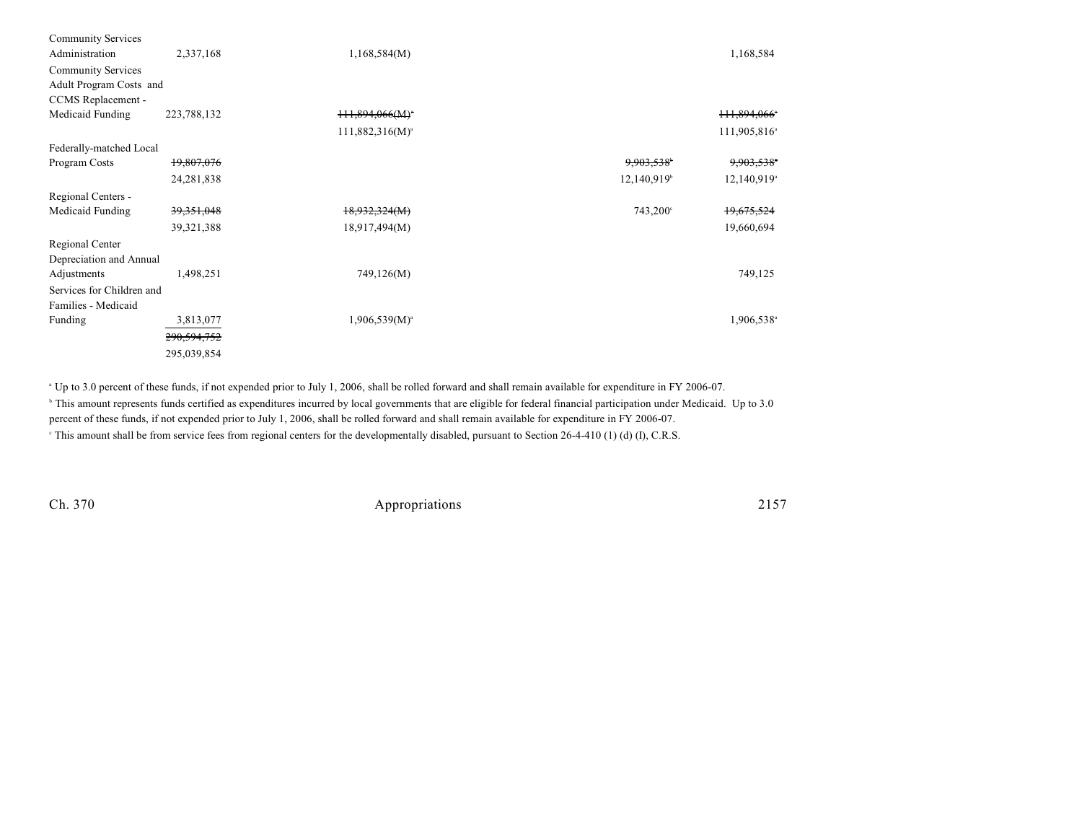| <b>Community Services</b> |              |                      |                           |                           |
|---------------------------|--------------|----------------------|---------------------------|---------------------------|
| Administration            | 2,337,168    | 1,168,584(M)         |                           | 1,168,584                 |
| <b>Community Services</b> |              |                      |                           |                           |
| Adult Program Costs and   |              |                      |                           |                           |
| CCMS Replacement -        |              |                      |                           |                           |
| Medicaid Funding          | 223,788,132  | 111,894,066(M)       |                           | 111,894,066°              |
|                           |              | $111,882,316(M)^{a}$ |                           | 111,905,816 <sup>a</sup>  |
| Federally-matched Local   |              |                      |                           |                           |
| Program Costs             | 19,807,076   |                      | 9,903,538*                | 9,903,538                 |
|                           | 24, 281, 838 |                      | $12,140,919$ <sup>b</sup> | $12,140,919$ <sup>a</sup> |
| Regional Centers -        |              |                      |                           |                           |
| Medicaid Funding          | 39, 351, 048 | 18,932,324(M)        | $743,200^{\circ}$         | 19,675,524                |
|                           | 39, 321, 388 | 18,917,494(M)        |                           | 19,660,694                |
| Regional Center           |              |                      |                           |                           |
| Depreciation and Annual   |              |                      |                           |                           |
| Adjustments               | 1,498,251    | 749,126(M)           |                           | 749,125                   |
| Services for Children and |              |                      |                           |                           |
| Families - Medicaid       |              |                      |                           |                           |
| Funding                   | 3,813,077    | $1,906,539(M)^{a}$   |                           | 1,906,538 <sup>a</sup>    |
|                           | 290,594,752  |                      |                           |                           |
|                           | 295,039,854  |                      |                           |                           |

<sup>a</sup> Up to 3.0 percent of these funds, if not expended prior to July 1, 2006, shall be rolled forward and shall remain available for expenditure in FY 2006-07.

<sup>b</sup> This amount represents funds certified as expenditures incurred by local governments that are eligible for federal financial participation under Medicaid. Up to 3.0 percent of these funds, if not expended prior to July 1, 2006, shall be rolled forward and shall remain available for expenditure in FY 2006-07.

<sup>e</sup> This amount shall be from service fees from regional centers for the developmentally disabled, pursuant to Section 26-4-410 (1) (d) (I), C.R.S.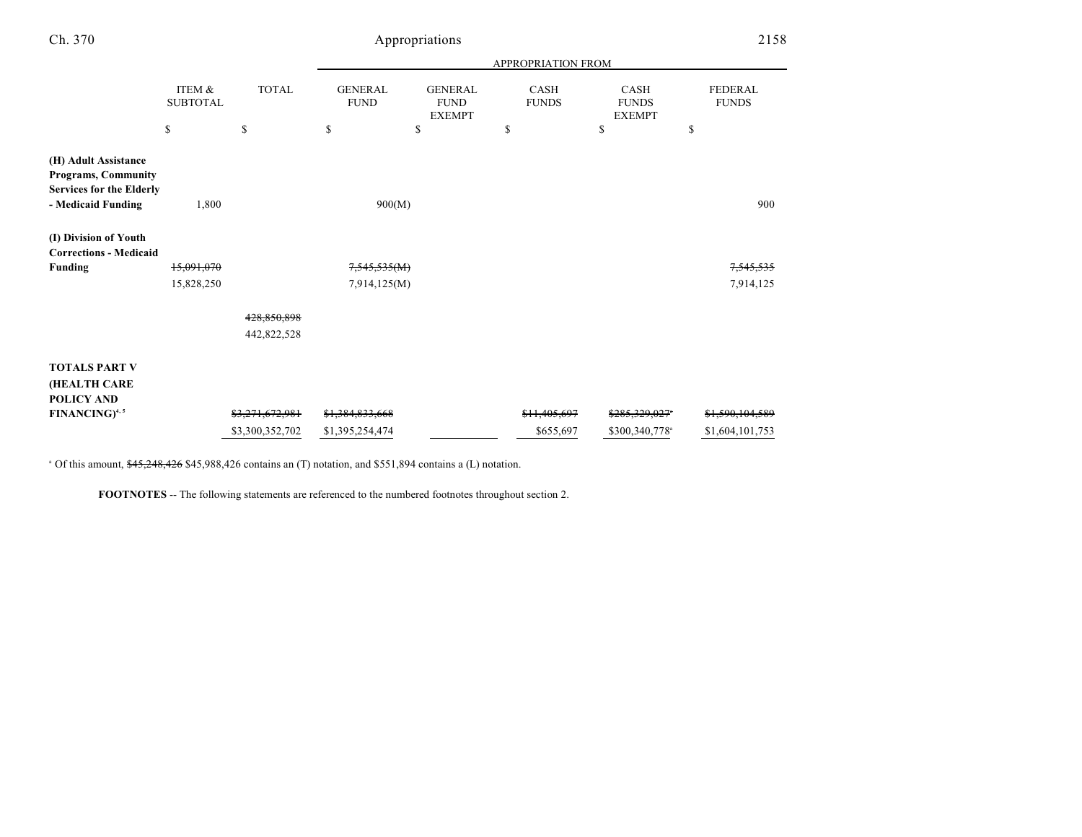| v.<br>۰. |  |
|----------|--|
|          |  |

# Appropriations 2158

|                                                                                       |                           |                 | APPROPRIATION FROM            |                                                |                         |                                              |                                |  |
|---------------------------------------------------------------------------------------|---------------------------|-----------------|-------------------------------|------------------------------------------------|-------------------------|----------------------------------------------|--------------------------------|--|
|                                                                                       | ITEM &<br><b>SUBTOTAL</b> | <b>TOTAL</b>    | <b>GENERAL</b><br><b>FUND</b> | <b>GENERAL</b><br><b>FUND</b><br><b>EXEMPT</b> | CASH<br><b>FUNDS</b>    | <b>CASH</b><br><b>FUNDS</b><br><b>EXEMPT</b> | <b>FEDERAL</b><br><b>FUNDS</b> |  |
|                                                                                       | \$                        | \$              | \$                            | \$                                             | \$                      | \$                                           | \$                             |  |
| (H) Adult Assistance<br><b>Programs, Community</b><br><b>Services for the Elderly</b> |                           |                 |                               |                                                |                         |                                              |                                |  |
| - Medicaid Funding                                                                    | 1,800                     | 900(M)          |                               |                                                |                         | 900                                          |                                |  |
| (I) Division of Youth<br><b>Corrections - Medicaid</b>                                |                           |                 |                               |                                                |                         |                                              |                                |  |
| <b>Funding</b>                                                                        | 15,091,070                |                 | 7,545,535(M)                  |                                                |                         |                                              | <del>7,545,535</del>           |  |
|                                                                                       | 15,828,250                |                 | 7,914,125(M)                  |                                                |                         |                                              | 7,914,125                      |  |
|                                                                                       |                           | 428,850,898     |                               |                                                |                         |                                              |                                |  |
|                                                                                       |                           | 442,822,528     |                               |                                                |                         |                                              |                                |  |
| <b>TOTALS PART V</b><br><b>(HEALTH CARE</b>                                           |                           |                 |                               |                                                |                         |                                              |                                |  |
| POLICY AND                                                                            |                           |                 |                               |                                                |                         |                                              |                                |  |
| <b>FINANCING</b> <sup>4, 5</sup>                                                      |                           | \$3,271,672,981 | \$1,384,833,668               |                                                | <del>\$11.405.697</del> | \$285,329,027*                               | \$1,590,104,589                |  |
|                                                                                       |                           | \$3,300,352,702 | \$1,395,254,474               |                                                | \$655,697               | \$300,340,778 <sup>a</sup>                   | \$1,604,101,753                |  |

 $\degree$  Of this amount,  $\frac{645,248,426}{6}$  \$45,988,426 contains an (T) notation, and \$551,894 contains a (L) notation.

**FOOTNOTES** -- The following statements are referenced to the numbered footnotes throughout section 2.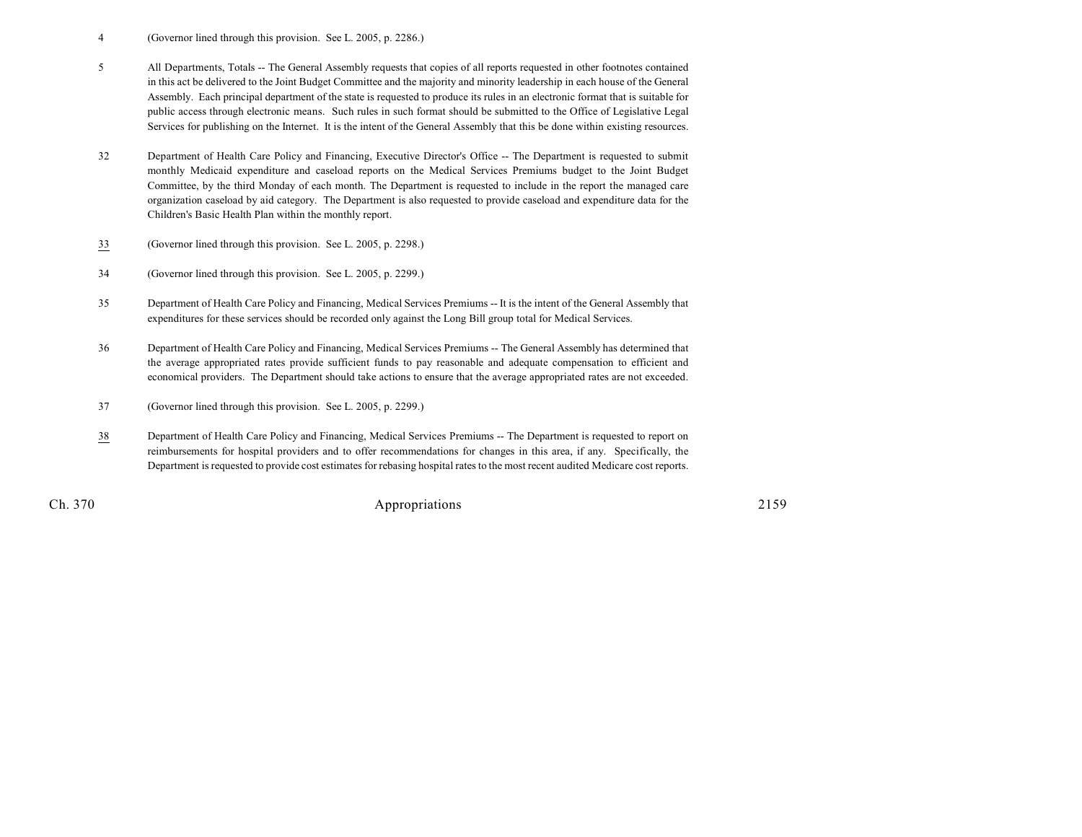- 4 (Governor lined through this provision. See L. 2005, p. 2286.)
- 5 All Departments, Totals -- The General Assembly requests that copies of all reports requested in other footnotes contained in this act be delivered to the Joint Budget Committee and the majority and minority leadership in each house of the General Assembly. Each principal department of the state is requested to produce its rules in an electronic format that is suitable for public access through electronic means. Such rules in such format should be submitted to the Office of Legislative Legal Services for publishing on the Internet. It is the intent of the General Assembly that this be done within existing resources.
- 32 Department of Health Care Policy and Financing, Executive Director's Office -- The Department is requested to submit monthly Medicaid expenditure and caseload reports on the Medical Services Premiums budget to the Joint Budget Committee, by the third Monday of each month. The Department is requested to include in the report the managed care organization caseload by aid category. The Department is also requested to provide caseload and expenditure data for the Children's Basic Health Plan within the monthly report.
- 33 (Governor lined through this provision. See L. 2005, p. 2298.)
- 34 (Governor lined through this provision. See L. 2005, p. 2299.)
- 35 Department of Health Care Policy and Financing, Medical Services Premiums -- It is the intent of the General Assembly that expenditures for these services should be recorded only against the Long Bill group total for Medical Services.
- 36 Department of Health Care Policy and Financing, Medical Services Premiums -- The General Assembly has determined that the average appropriated rates provide sufficient funds to pay reasonable and adequate compensation to efficient and economical providers. The Department should take actions to ensure that the average appropriated rates are not exceeded.
- 37 (Governor lined through this provision. See L. 2005, p. 2299.)
- 38 Department of Health Care Policy and Financing, Medical Services Premiums -- The Department is requested to report on reimbursements for hospital providers and to offer recommendations for changes in this area, if any. Specifically, the Department is requested to provide cost estimates for rebasing hospital rates to the most recent audited Medicare cost reports.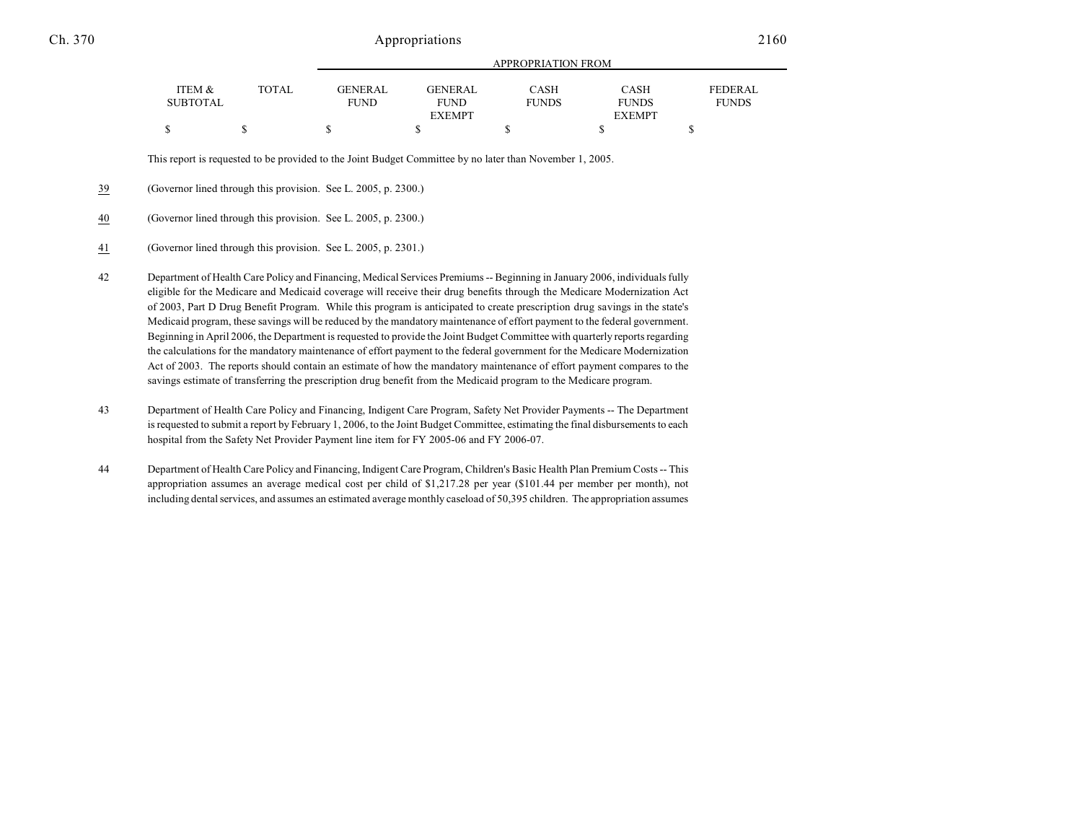|                 |              | APPROPRIATION FROM |                |              |               |              |  |
|-----------------|--------------|--------------------|----------------|--------------|---------------|--------------|--|
| ITEM &          | <b>TOTAL</b> | GENERAL            | <b>GENERAL</b> | <b>CASH</b>  | <b>CASH</b>   | FEDERAL      |  |
| <b>SUBTOTAL</b> |              | <b>FUND</b>        | <b>FUND</b>    | <b>FUNDS</b> | <b>FUNDS</b>  | <b>FUNDS</b> |  |
|                 |              |                    | <b>EXEMPT</b>  |              | <b>EXEMPT</b> |              |  |
|                 |              |                    |                |              |               |              |  |

APPROPRIATION FROM

This report is requested to be provided to the Joint Budget Committee by no later than November 1, 2005.

39 (Governor lined through this provision. See L. 2005, p. 2300.)

#### 40 (Governor lined through this provision. See L. 2005, p. 2300.)

- 41 (Governor lined through this provision. See L. 2005, p. 2301.)
- 42 Department of Health Care Policy and Financing, Medical Services Premiums -- Beginning in January 2006, individuals fully eligible for the Medicare and Medicaid coverage will receive their drug benefits through the Medicare Modernization Act of 2003, Part D Drug Benefit Program. While this program is anticipated to create prescription drug savings in the state's Medicaid program, these savings will be reduced by the mandatory maintenance of effort payment to the federal government. Beginning in April 2006, the Department is requested to provide the Joint Budget Committee with quarterly reports regarding the calculations for the mandatory maintenance of effort payment to the federal government for the Medicare Modernization Act of 2003. The reports should contain an estimate of how the mandatory maintenance of effort payment compares to the savings estimate of transferring the prescription drug benefit from the Medicaid program to the Medicare program.
- 43 Department of Health Care Policy and Financing, Indigent Care Program, Safety Net Provider Payments -- The Department is requested to submit a report by February 1, 2006, to the Joint Budget Committee, estimating the final disbursements to each hospital from the Safety Net Provider Payment line item for FY 2005-06 and FY 2006-07.
- 44 Department of Health Care Policy and Financing, Indigent Care Program, Children's Basic Health Plan Premium Costs -- This appropriation assumes an average medical cost per child of \$1,217.28 per year (\$101.44 per member per month), not including dental services, and assumes an estimated average monthly caseload of 50,395 children. The appropriation assumes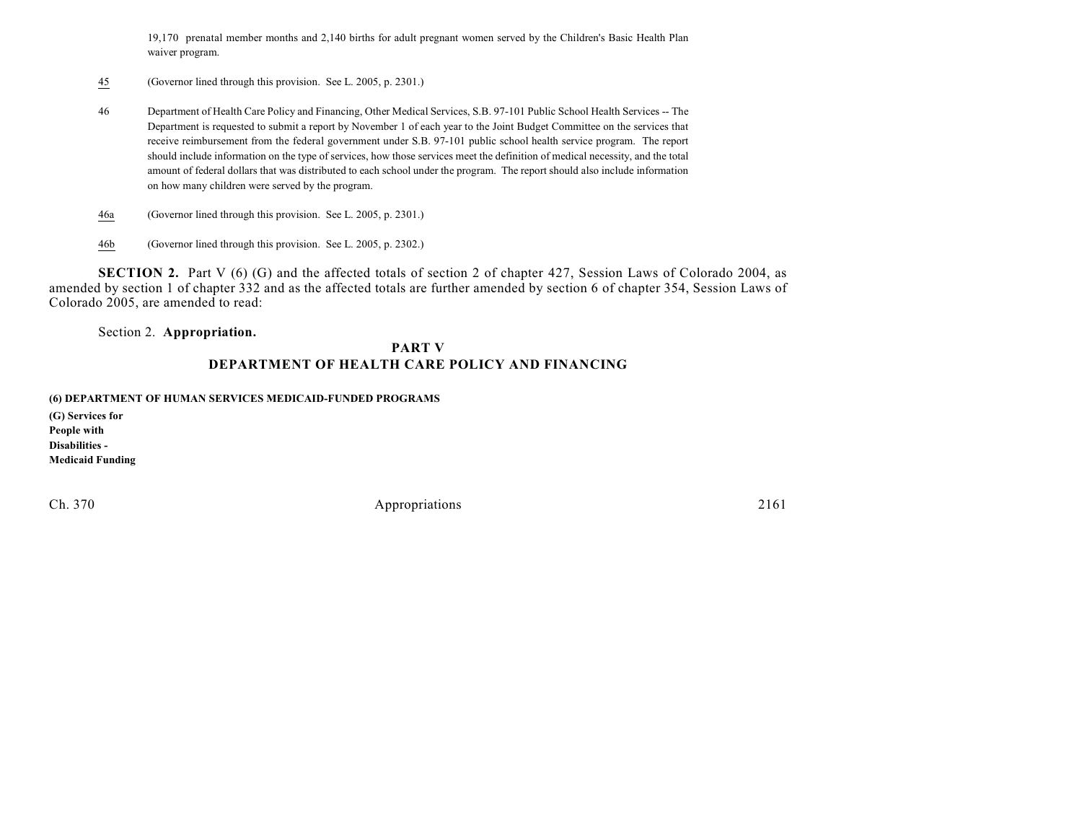19,170 prenatal member months and 2,140 births for adult pregnant women served by the Children's Basic Health Plan waiver program.

- 45 (Governor lined through this provision. See L. 2005, p. 2301.)
- 46 Department of Health Care Policy and Financing, Other Medical Services, S.B. 97-101 Public School Health Services -- The Department is requested to submit a report by November 1 of each year to the Joint Budget Committee on the services that receive reimbursement from the federal government under S.B. 97-101 public school health service program. The report should include information on the type of services, how those services meet the definition of medical necessity, and the total amount of federal dollars that was distributed to each school under the program. The report should also include information on how many children were served by the program.
- 46a (Governor lined through this provision. See L. 2005, p. 2301.)
- 46b (Governor lined through this provision. See L. 2005, p. 2302.)

**SECTION 2.** Part V (6) (G) and the affected totals of section 2 of chapter 427, Session Laws of Colorado 2004, as amended by section 1 of chapter 332 and as the affected totals are further amended by section 6 of chapter 354, Session Laws of Colorado 2005, are amended to read:

Section 2. **Appropriation.**

### **PART V DEPARTMENT OF HEALTH CARE POLICY AND FINANCING**

**(6) DEPARTMENT OF HUMAN SERVICES MEDICAID-FUNDED PROGRAMS**

**(G) Services for People with Disabilities - Medicaid Funding**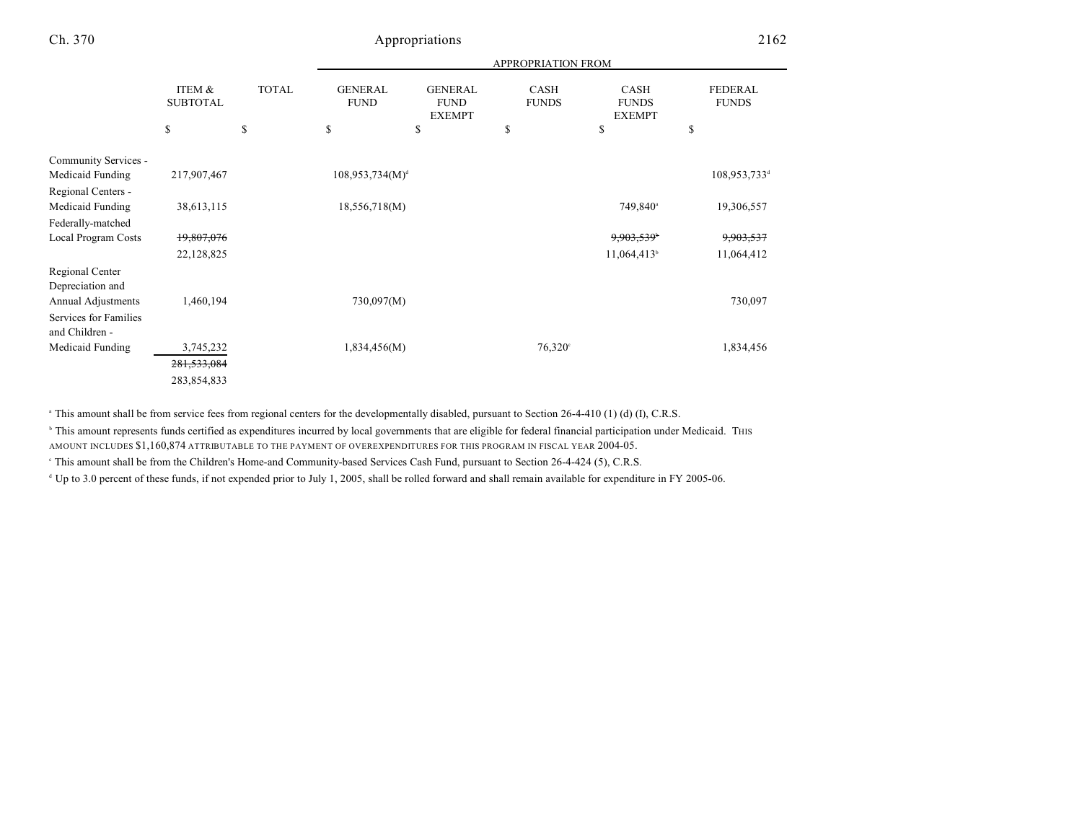|                                                 |                           |              | APPROPRIATION FROM            |                                                |                             |                                              |                                |  |
|-------------------------------------------------|---------------------------|--------------|-------------------------------|------------------------------------------------|-----------------------------|----------------------------------------------|--------------------------------|--|
|                                                 | ITEM &<br><b>SUBTOTAL</b> | <b>TOTAL</b> | <b>GENERAL</b><br><b>FUND</b> | <b>GENERAL</b><br><b>FUND</b><br><b>EXEMPT</b> | <b>CASH</b><br><b>FUNDS</b> | <b>CASH</b><br><b>FUNDS</b><br><b>EXEMPT</b> | <b>FEDERAL</b><br><b>FUNDS</b> |  |
|                                                 | \$                        | \$           | \$                            | \$                                             | \$                          | \$                                           | \$                             |  |
| Community Services -                            |                           |              |                               |                                                |                             |                                              |                                |  |
| Medicaid Funding                                | 217,907,467               |              | $108,953,734(M)^{d}$          |                                                |                             |                                              | 108,953,733 <sup>d</sup>       |  |
| Regional Centers -                              |                           |              |                               |                                                |                             |                                              |                                |  |
| Medicaid Funding                                | 38,613,115                |              | 18,556,718(M)                 |                                                |                             | 749,840 <sup>a</sup>                         | 19,306,557                     |  |
| Federally-matched<br><b>Local Program Costs</b> | 19,807,076                |              |                               |                                                |                             | 9,903,539                                    | 9,903,537                      |  |
|                                                 | 22,128,825                |              |                               |                                                |                             | 11,064,413 <sup>b</sup>                      | 11,064,412                     |  |
| Regional Center                                 |                           |              |                               |                                                |                             |                                              |                                |  |
| Depreciation and                                |                           |              |                               |                                                |                             |                                              |                                |  |
| Annual Adjustments                              | 1,460,194                 |              | 730,097(M)                    |                                                |                             |                                              | 730,097                        |  |
| Services for Families                           |                           |              |                               |                                                |                             |                                              |                                |  |
| and Children -                                  |                           |              |                               |                                                |                             |                                              |                                |  |
| Medicaid Funding                                | 3,745,232                 |              | 1,834,456(M)                  |                                                | $76,320^{\circ}$            |                                              | 1,834,456                      |  |
|                                                 | 281,533,084               |              |                               |                                                |                             |                                              |                                |  |
|                                                 | 283,854,833               |              |                               |                                                |                             |                                              |                                |  |

<sup>a</sup> This amount shall be from service fees from regional centers for the developmentally disabled, pursuant to Section 26-4-410 (1) (d) (I), C.R.S.

<sup>b</sup> This amount represents funds certified as expenditures incurred by local governments that are eligible for federal financial participation under Medicaid. This AMOUNT INCLUDES \$1,160,874 ATTRIBUTABLE TO THE PAYMENT OF OVEREXPENDITURES FOR THIS PROGRAM IN FISCAL YEAR 2004-05.

This amount shall be from the Children's Home-and Community-based Services Cash Fund, pursuant to Section 26-4-424 (5), C.R.S.

<sup>4</sup> Up to 3.0 percent of these funds, if not expended prior to July 1, 2005, shall be rolled forward and shall remain available for expenditure in FY 2005-06.